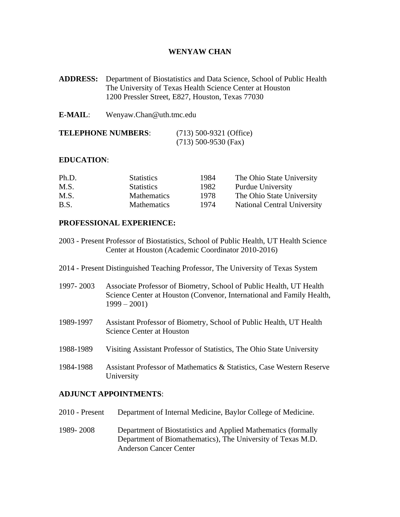### **WENYAW CHAN**

- **ADDRESS:** Department of Biostatistics and Data Science, School of Public Health The University of Texas Health Science Center at Houston 1200 Pressler Street, E827, Houston, Texas 77030
- **E-MAIL**: Wenyaw.Chan@uth.tmc.edu

| <b>TELEPHONE NUMBERS:</b> | $(713)$ 500-9321 (Office) |
|---------------------------|---------------------------|
|                           | $(713)$ 500-9530 (Fax)    |

#### **EDUCATION**:

| Ph.D. | <b>Statistics</b>  | 1984 | The Ohio State University   |
|-------|--------------------|------|-----------------------------|
| M.S.  | <b>Statistics</b>  | 1982 | <b>Purdue University</b>    |
| M.S.  | <b>Mathematics</b> | 1978 | The Ohio State University   |
| B.S.  | <b>Mathematics</b> | 1974 | National Central University |

### **PROFESSIONAL EXPERIENCE:**

- 2003 Present Professor of Biostatistics, School of Public Health, UT Health Science Center at Houston (Academic Coordinator 2010-2016)
- 2014 Present Distinguished Teaching Professor, The University of Texas System
- 1997- 2003 Associate Professor of Biometry, School of Public Health, UT Health Science Center at Houston (Convenor, International and Family Health,  $1999 - 2001$
- 1989-1997 Assistant Professor of Biometry, School of Public Health, UT Health Science Center at Houston
- 1988-1989 Visiting Assistant Professor of Statistics, The Ohio State University
- 1984-1988 Assistant Professor of Mathematics & Statistics, Case Western Reserve University

### **ADJUNCT APPOINTMENTS**:

| 2010 - Present | Department of Internal Medicine, Baylor College of Medicine.                                                                                                  |
|----------------|---------------------------------------------------------------------------------------------------------------------------------------------------------------|
| 1989-2008      | Department of Biostatistics and Applied Mathematics (formally<br>Department of Biomathematics), The University of Texas M.D.<br><b>Anderson Cancer Center</b> |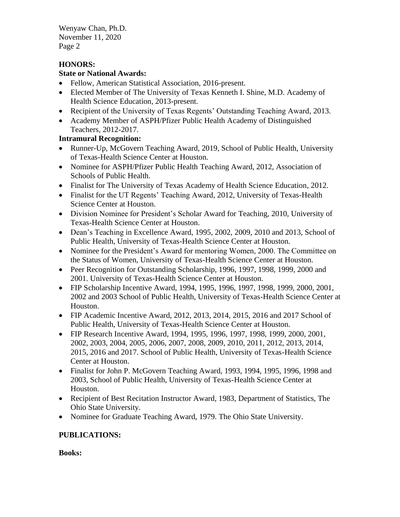# **HONORS:**

## **State or National Awards:**

- Fellow, American Statistical Association, 2016-present.
- Elected Member of The University of Texas Kenneth I. Shine, M.D. Academy of Health Science Education, 2013-present.
- Recipient of the University of Texas Regents' Outstanding Teaching Award, 2013.
- Academy Member of ASPH/Pfizer Public Health Academy of Distinguished Teachers, 2012-2017.

# **Intramural Recognition:**

- Runner-Up, McGovern Teaching Award, 2019, School of Public Health, University of Texas-Health Science Center at Houston.
- Nominee for ASPH/Pfizer Public Health Teaching Award, 2012, Association of Schools of Public Health.
- Finalist for The University of Texas Academy of Health Science Education, 2012.
- Finalist for the UT Regents' Teaching Award, 2012, University of Texas-Health Science Center at Houston.
- Division Nominee for President's Scholar Award for Teaching, 2010, University of Texas-Health Science Center at Houston.
- Dean's Teaching in Excellence Award, 1995, 2002, 2009, 2010 and 2013, School of Public Health, University of Texas-Health Science Center at Houston.
- Nominee for the President's Award for mentoring Women, 2000. The Committee on the Status of Women, University of Texas-Health Science Center at Houston.
- Peer Recognition for Outstanding Scholarship, 1996, 1997, 1998, 1999, 2000 and 2001. University of Texas-Health Science Center at Houston.
- FIP Scholarship Incentive Award, 1994, 1995, 1996, 1997, 1998, 1999, 2000, 2001, 2002 and 2003 School of Public Health, University of Texas-Health Science Center at Houston.
- FIP Academic Incentive Award, 2012, 2013, 2014, 2015, 2016 and 2017 School of Public Health, University of Texas-Health Science Center at Houston.
- FIP Research Incentive Award, 1994, 1995, 1996, 1997, 1998, 1999, 2000, 2001, 2002, 2003, 2004, 2005, 2006, 2007, 2008, 2009, 2010, 2011, 2012, 2013, 2014, 2015, 2016 and 2017. School of Public Health, University of Texas-Health Science Center at Houston.
- Finalist for John P. McGovern Teaching Award, 1993, 1994, 1995, 1996, 1998 and 2003, School of Public Health, University of Texas-Health Science Center at Houston.
- Recipient of Best Recitation Instructor Award, 1983, Department of Statistics, The Ohio State University.
- Nominee for Graduate Teaching Award, 1979. The Ohio State University.

# **PUBLICATIONS:**

**Books:**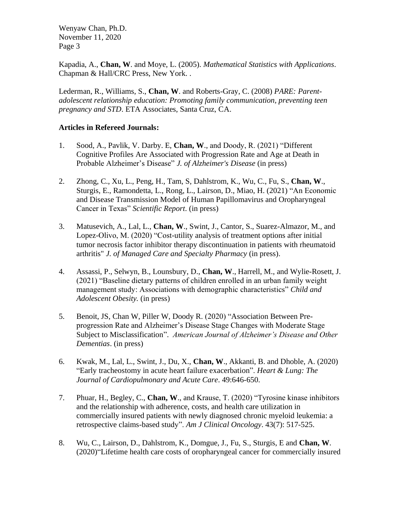Kapadia, A., **Chan, W**. and Moye, L. (2005). *Mathematical Statistics with Applications*. Chapman & Hall/CRC Press, New York. .

Lederman, R., Williams, S., **Chan, W**. and Roberts-Gray, C. (2008) *PARE: Parentadolescent relationship education: Promoting family communication, preventing teen pregnancy and STD*. ETA Associates, Santa Cruz, CA.

### **Articles in Refereed Journals:**

- 1. Sood, A., Pavlik, V. Darby. E, **Chan, W**., and Doody, R. (2021) "Different Cognitive Profiles Are Associated with Progression Rate and Age at Death in Probable Alzheimer's Disease" *J. of Alzheimer's Disease* (in press)
- 2. Zhong, C., Xu, L., Peng, H., Tam, S, Dahlstrom, K., Wu, C., Fu, S., **Chan, W**., Sturgis, E., Ramondetta, L., Rong, L., Lairson, D., Miao, H. (2021) "An Economic and Disease Transmission Model of Human Papillomavirus and Oropharyngeal Cancer in Texas" *Scientific Report*. (in press)
- 3. Matusevich, A., Lal, L., **Chan, W**., Swint, J., Cantor, S., Suarez-Almazor, M., and Lopez-Olivo, M. (2020) "Cost-utility analysis of treatment options after initial tumor necrosis factor inhibitor therapy discontinuation in patients with rheumatoid arthritis" *J. of Managed Care and Specialty Pharmacy* (in press).
- 4. Assassi, P., Selwyn, B., Lounsbury, D., **Chan, W**., Harrell, M., and Wylie-Rosett, J. (2021) "Baseline dietary patterns of children enrolled in an urban family weight management study: Associations with demographic characteristics" *Child and Adolescent Obesity.* (in press)
- 5. Benoit, JS, Chan W, Piller W, Doody R. (2020) "Association Between Preprogression Rate and Alzheimer's Disease Stage Changes with Moderate Stage Subject to Misclassification". *American Journal of Alzheimer's Disease and Other Dementias*. (in press)
- 6. Kwak, M., Lal, L., Swint, J., Du, X., **Chan, W**., Akkanti, B. and Dhoble, A. (2020) "Early tracheostomy in acute heart failure exacerbation". *Heart & Lung: The Journal of Cardiopulmonary and Acute Care*. 49:646-650.
- 7. Phuar, H., Begley, C., **Chan, W**., and Krause, T. (2020) "Tyrosine kinase inhibitors and the relationship with adherence, costs, and health care utilization in commercially insured patients with newly diagnosed chronic myeloid leukemia: a retrospective claims-based study". *Am J Clinical Oncology*. 43(7): 517-525.
- 8. Wu, C., Lairson, D., Dahlstrom, K., Domgue, J., Fu, S., Sturgis, E and **Chan, W**. (2020)"Lifetime health care costs of oropharyngeal cancer for commercially insured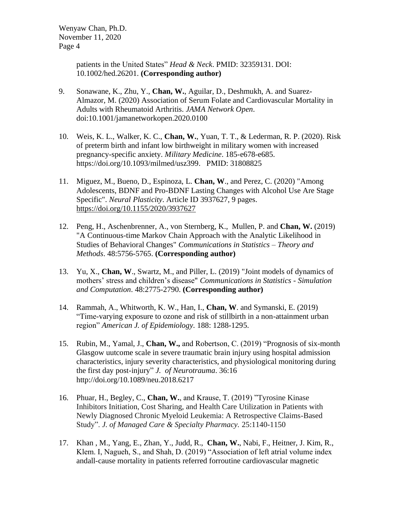> patients in the United States" *Head & Neck*. PMID: 32359131. DOI: 10.1002/hed.26201. **[\(Corresponding author\)](https://doi.org/10.1002/hed.26201)**

- 9. Sonawane, K., Zhu, Y., **Chan, W.**, Aguilar, D., Deshmukh, A. and Suarez-Almazor, M. (2020) Association of Serum Folate and Cardiovascular Mortality in Adults with Rheumatoid Arthritis. *JAMA Network Open*. doi:10.1001/jamanetworkopen.2020.0100
- 10. Weis, K. L., Walker, K. C., **Chan, W.**, Yuan, T. T., & Lederman, R. P. (2020). Risk of preterm birth and infant low birthweight in military women with increased pregnancy-specific anxiety. *Military Medicine*. 185-e678-e685. [https://doi.org/10.1093/milmed/usz399.](https://doi.org/10.1093/milmed/usz399) PMID: 31808825
- 11. Miguez, M., Bueno, D., Espinoza, L. **Chan, W**., and Perez, C. (2020) "Among Adolescents, BDNF and Pro-BDNF Lasting Changes with Alcohol Use Are Stage Specific". *Neural Plasticity*. Article ID 3937627, 9 pages. <https://doi.org/10.1155/2020/3937627>
- 12. Peng, H., Aschenbrenner, A., von Sternberg, K., Mullen, P. and **Chan, W.** (2019) "A Continuous-time Markov Chain Approach with the Analytic Likelihood in Studies of Behavioral Changes" *Communications in Statistics – Theory and Methods*. 48:5756-5765. **(Corresponding author)**
- 13. Yu, X., **Chan, W**., Swartz, M., and Piller, L. (2019) "Joint models of dynamics of mothers' stress and children's disease" *Communications in Statistics - Simulation and Computation*. 48:2775-2790. **(Corresponding author)**
- 14. Rammah, A., Whitworth, K. W., Han, I., **Chan, W**. and Symanski, E. (2019) "Time-varying exposure to ozone and risk of stillbirth in a non-attainment urban region" *American J. of Epidemiology.* 188: 1288-1295.
- 15. Rubin, M., Yamal, J., **Chan, W.,** and Robertson, C. (2019) ["Prognosis of six-month](https://www.liebertpub.com/doi/full/10.1089/neu.2018.6217)  [Glasgow uutcome scale in severe traumatic brain injury using hospital admission](https://www.liebertpub.com/doi/full/10.1089/neu.2018.6217)  [characteristics, injury severity characteristics, and physiological monitoring during](https://www.liebertpub.com/doi/full/10.1089/neu.2018.6217)  [the first day post-injury"](https://www.liebertpub.com/doi/full/10.1089/neu.2018.6217) *J. of Neurotrauma*. 36:16 [http://doi.org/10.1089/neu.2018.6217](https://doi.org/10.1089/neu.2018.6217)
- 16. Phuar, H., Begley, C., **Chan, W.**, and Krause, T. (2019) "Tyrosine Kinase Inhibitors Initiation, Cost Sharing, and Health Care Utilization in Patients with Newly Diagnosed Chronic Myeloid Leukemia: A Retrospective Claims-Based Study". *J. of Managed Care & Specialty Pharmacy.* 25:1140-1150
- 17. Khan , M., Yang, E., Zhan, Y., Judd, R., **Chan, W.**, Nabi, F., Heitner, J. Kim, R., Klem. I, Nagueh, S., and Shah, D. (2019) "Association of left atrial volume index andall-cause mortality in patients referred forroutine cardiovascular magnetic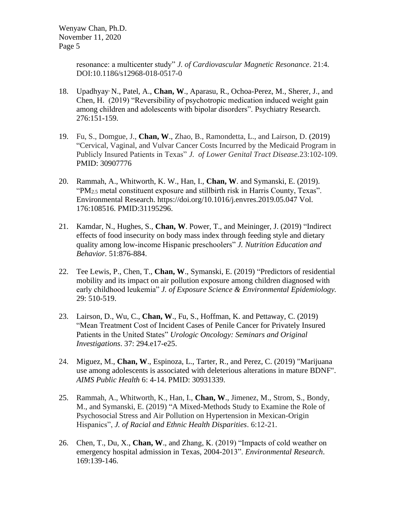> resonance: a multicenter study" *J. of Cardiovascular Magnetic Resonance*. 21:4. DOI:10.1186/s12968-018-0517-0

- 18. Upadhyay, N., [Patel,](https://www.sciencedirect.com/science/article/abs/pii/S0165178119306845#%21) A., **Chan, W**., [Aparasu, R., Ochoa-Perez,](https://www.sciencedirect.com/science/article/abs/pii/S0165178119306845#%21) M., [Sherer,](https://www.sciencedirect.com/science/article/abs/pii/S0165178119306845#%21) J., and [Chen,](https://www.sciencedirect.com/science/article/abs/pii/S0165178119306845#%21) H. (2019) "Reversibility of psychotropic medication induced weight gain among children and adolescents with bipolar disorders". [Psychiatry Research.](https://www.sciencedirect.com/science/journal/01651781) 276:151-159.
- 19. Fu, S., Domgue, J., **Chan, W**., Zhao, B., Ramondetta, L., and Lairson, D. (2019) "Cervical, Vaginal, and Vulvar Cancer Costs Incurred by the Medicaid Program in Publicly Insured Patients in Texas" *J. of Lower Genital Tract Disease.*23:102-109. PMID: 30907776
- 20. Rammah, A., Whitworth, K. W., Han, I., **Chan, W**. and Symanski, E. (2019). "PM2.5 metal constituent exposure and stillbirth risk in Harris County, Texas". Environmental Research.<https://doi.org/10.1016/j.envres.2019.05.047> [Vol.](https://www.sciencedirect.com/science/journal/00139351/176/supp/C) [176:](https://www.sciencedirect.com/science/journal/00139351/176/supp/C)108516. PMID:31195296.
- 21. Kamdar, N., Hughes, S., **Chan, W**. Power, T., and Meininger, J. (2019) "Indirect effects of food insecurity on body mass index through feeding style and dietary quality among low-income Hispanic preschoolers" *J. Nutrition Education and Behavior.* 51:876-884.
- 22. Tee Lewis, P., Chen, T., **Chan, W**., Symanski, E. (2019) "Predictors of residential mobility and its impact on air pollution exposure among children diagnosed with early childhood leukemia" *J. of Exposure Science & Environmental Epidemiology.* 29: 510-519.
- 23. Lairson, D., Wu, C., **Chan, W**., Fu, S., Hoffman, K. and Pettaway, C. (2019) "Mean Treatment Cost of Incident Cases of Penile Cancer for Privately Insured Patients in the United States" *Urologic Oncology: Seminars and Original Investigations*. 37: 294.e17-e25.
- 24. Miguez, M., **Chan, W**., Espinoza, L., Tarter, R., and Perez, C. (2019) "Marijuana use among adolescents is associated with deleterious alterations in mature BDNF". *AIMS Public Health* 6: 4-14. PMID: 30931339.
- 25. Rammah, A., Whitworth, K., Han, I., **Chan, W**., Jimenez, M., Strom, S., Bondy, M., and Symanski, E. (2019) "A Mixed-Methods Study to Examine the Role of Psychosocial Stress and Air Pollution on Hypertension in Mexican-Origin Hispanics", *J. of Racial and Ethnic Health Disparities*. 6:12-21.
- 26. Chen, T., Du, X., **Chan, W**., and Zhang, K. (2019) "Impacts of cold weather on emergency hospital admission in Texas, 2004-2013". *Environmental Research*. 169:139-146.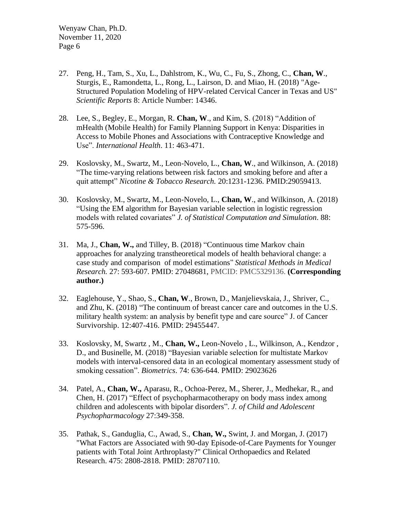- 27. Peng, H., Tam, S., Xu, L., Dahlstrom, K., Wu, C., Fu, S., Zhong, C., **Chan, W**., Sturgis, E., Ramondetta, L., Rong, L., Lairson, D. and Miao, H. (2018) "Age-Structured Population Modeling of HPV-related Cervical Cancer in Texas and US" *Scientific Reports* 8: Article Number: 14346.
- 28. Lee, S., Begley, E., Morgan, R. **Chan, W**., and Kim, S. (2018) "Addition of mHealth (Mobile Health) for Family Planning Support in Kenya: Disparities in Access to Mobile Phones and Associations with Contraceptive Knowledge and Use". *International Health*. 11: 463-471.
- 29. Koslovsky, M., Swartz, M., Leon-Novelo, L., **Chan, W**., and Wilkinson, A. (2018) "The time-varying relations between risk factors and smoking before and after a quit attempt" *Nicotine & Tobacco Research.* 20:1231-1236. PMID:29059413.
- 30. Koslovsky, M., Swartz, M., Leon-Novelo, L., **Chan, W**., and Wilkinson, A. (2018) "Using the EM algorithm for Bayesian variable selection in logistic regression models with related covariates" *[J. of Statistical Computation and Simulation](http://www.tandfonline.com/toc/gscs20/current)*. 88: 575-596.
- 31. Ma, J., **Chan, W.,** and Tilley, B. (2018) "Continuous time Markov chain approaches for analyzing transtheoretical models of health behavioral change: a case study and comparison of model estimations" *Statistical Methods in Medical Research.* 27: 593-607. PMID: [27048681,](http://europepmc.org/abstract/MED/27048681) PMCID: PMC5329136. **(Corresponding author.)**
- 32. Eaglehouse, Y., Shao, S., **Chan, W**., Brown, D., Manjelievskaia, J., Shriver, C., and Zhu, K. (2018) "The continuum of breast cancer care and outcomes in the U.S. military health system: an analysis by benefit type and care source" [J. of Cancer](file:///C:/DataA_M/CHAN/J.%20of%20Cancer%20Survivorship)  [Survivorship.](file:///C:/DataA_M/CHAN/J.%20of%20Cancer%20Survivorship) 12:407-416. PMID: 29455447.
- 33. Koslovsky, M, Swartz , M., **Chan, W.,** Leon-Novelo , L., Wilkinson, A., Kendzor , D., and Businelle, M. (2018) "Bayesian variable selection for multistate Markov models with interval-censored data in an ecological momentary assessment study of smoking cessation". *Biometrics*. 74: 636-644. PMID: 29023626
- 34. Patel, A., **Chan, W.,** Aparasu, R., Ochoa-Perez, M., Sherer, J., Medhekar, R., and Chen, H. (2017) "Effect of psychopharmacotherapy on body mass index among children and adolescents with bipolar disorders". *J. of Child and Adolescent Psychopharmacology* 27:349-358.
- 35. Pathak, S., Ganduglia, C., Awad, S., **Chan, W.,** Swint, J. and Morgan, J. (2017) "What Factors are Associated with 90-day Episode-of-Care Payments for Younger patients with Total Joint Arthroplasty?" Clinical Orthopaedics and Related Research. 475: 2808-2818. PMID: 28707110.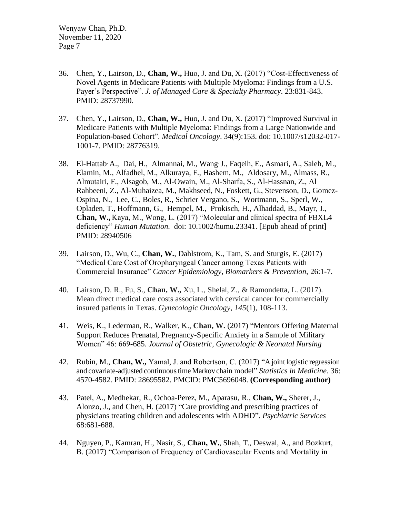- 36. Chen, Y., Lairson, D., **Chan, W.,** Huo, J. and Du, X. (2017) "Cost-Effectiveness of Novel Agents in Medicare Patients with Multiple Myeloma: Findings from a U.S. Payer's Perspective". *J. of Managed Care & Specialty Pharmacy*. 23:831-843. PMID: 28737990.
- 37. Chen, Y., Lairson, D., **Chan, W.,** Huo, J. and Du, X. (2017) "Improved Survival in Medicare Patients with Multiple Myeloma: Findings from a Large Nationwide and Population-based Cohort". *Medical Oncology*. 34(9):153. doi: 10.1007/s12032-017- 1001-7. PMID: 28776319.
- 38. El-Hattab, A., Dai, H., Almannai, M., Wang, J., Faqeih, E., Asmari, A., Saleh, M., Elamin, M., Alfadhel, M., Alkuraya, F., Hashem, M., Aldosary, M., Almass, R., Almutairi, F., Alsagob, M., Al-Owain, M., Al-Sharfa, S., Al-Hassnan, Z., Al Rahbeeni, Z., Al-Muhaizea, M., Makhseed, N., Foskett, G., Stevenson, D., Gomez-Ospina, N., Lee, C., Boles, R., Schrier Vergano, S., Wortmann, S., Sperl, W., Opladen, T., Hoffmann, G., Hempel, M., Prokisch, H., Alhaddad, B., Mayr, J., **Chan, W.,** Kaya, M., Wong, L. (2017) "Molecular and clinical spectra of FBXL4 deficiency" *Human Mutation.* doi: 10.1002/humu.23341. [Epub ahead of print] PMID: 28940506
- 39. Lairson, D., Wu, C., **Chan, W.**, Dahlstrom, K., Tam, S. and Sturgis, E. (2017) "Medical Care Cost of Oropharyngeal Cancer among Texas Patients with Commercial Insurance" *Cancer Epidemiology, Biomarkers & Prevention,* 26:1-7.
- 40. Lairson, D. R., Fu, S., **Chan, W.,** Xu, L., Shelal, Z., & Ramondetta, L. (2017). Mean direct medical care costs associated with cervical cancer for commercially insured patients in Texas. *Gynecologic Oncology*, *145*(1), 108-113.
- 41. [Weis,](http://www.sciencedirect.com/science/article/pii/S0884217517303441?via%3Dihub#!) K., [Lederman,](http://www.sciencedirect.com/science/article/pii/S0884217517303441?via%3Dihub#!) R., [Walker,](http://www.sciencedirect.com/science/article/pii/S0884217517303441?via%3Dihub#!) K., **Chan, W.** (2017) "Mentors Offering Maternal Support Reduces Prenatal, Pregnancy-Specific Anxiety in a Sample of Military Women" 46: 669-685. *[Journal of Obstetric, Gynecologic & Neonatal Nursing](http://www.sciencedirect.com/science/journal/08842175)*
- 42. Rubin, M., **Chan, W.,** Yamal, J. and Robertson, C. (2017) "A joint logistic regression and covariate-adjusted continuoustime Markov chain model" *Statistics in Medicine*. 36: 4570-4582. PMID: 28695582. PMCID: [PMC5696048.](https://www.ncbi.nlm.nih.gov/pmc/articles/PMC5696048/) **(Corresponding author)**
- 43. Patel, A., Medhekar, R., Ochoa-Perez, M., Aparasu, R., **Chan, W.,** Sherer, J., Alonzo, J., and Chen, H. (2017) "Care providing and prescribing practices of physicians treating children and adolescents with ADHD". *Psychiatric Services* 68:681-688.
- 44. Nguyen, P., Kamran, H., Nasir, S., **Chan, W.**, Shah, T., Deswal, A., and Bozkurt, B. (2017) "Comparison of Frequency of Cardiovascular Events and Mortality in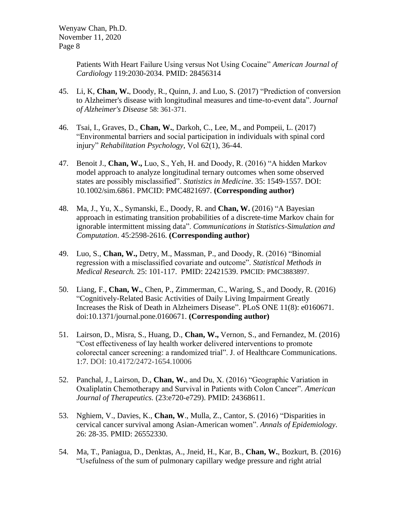> Patients With Heart Failure Using versus Not Using Cocaine" *American Journal of Cardiology* 119:2030-2034. PMID: 28456314

- 45. Li, K, **Chan, W.**, Doody, R., Quinn, J. and Luo, S. (2017) "Prediction of conversion to Alzheimer's disease with longitudinal measures and time-to-event data". *Journal of Alzheimer's Disease* 58: 361-371.
- 46. Tsai, I., Graves, D., **Chan, W.**, Darkoh, C., Lee, M., and Pompeii, L. (2017) "Environmental barriers and social participation in individuals with spinal cord injury" *Rehabilitation Psychology*, Vol 62(1), 36-44.
- 47. Benoit J., **Chan, W.,** Luo, S., Yeh, H. and Doody, R. (2016) "A hidden Markov model approach to analyze longitudinal ternary outcomes when some observed states are possibly misclassified". *Statistics in Medicine*. 35: 1549-1557. DOI: 10.1002/sim.6861. PMCID: PMC4821697. **(Corresponding author)**
- 48. Ma, J., Yu, X., Symanski, E., Doody, R. and **Chan, W.** (2016) "A Bayesian approach in estimating transition probabilities of a discrete-time Markov chain for ignorable intermittent missing data". *Communications in Statistics-Simulation and Computation*. 45:2598-2616. **(Corresponding author)**
- 49. Luo, S., **Chan, W.,** Detry, M., Massman, P., and Doody, R. (2016) "Binomial regression with a misclassified covariate and outcome". *Statistical Methods in Medical Research.* 25: 101-117. PMID: 22421539. PMCID: PMC3883897.
- 50. Liang, F., **Chan, W.**, Chen, P., Zimmerman, C., Waring, S., and Doody, R. (2016) "Cognitively-Related Basic Activities of Daily Living Impairment Greatly Increases the Risk of Death in Alzheimers Disease". PLoS ONE 11(8): e0160671. doi:10.1371/journal.pone.0160671. **(Corresponding author)**
- 51. Lairson, D., Misra, S., Huang, D., **Chan, W.,** Vernon, S., and Fernandez, M. (2016) "Cost effectiveness of lay health worker delivered interventions to promote colorectal cancer screening: a randomized trial". J. of Healthcare Communications. 1:7. DOI: 10.4172/2472-1654.10006
- 52. Panchal, J., Lairson, D., **Chan, W.**, and Du, X. (2016) "Geographic Variation in Oxaliplatin Chemotherapy and Survival in Patients with Colon Cancer". *American Journal of Therapeutics.* (23:e720-e729). PMID: 24368611.
- 53. Nghiem, V., Davies, K., **Chan, W**., Mulla, Z., Cantor, S. (2016) "Disparities in cervical cancer survival among Asian-American women". *Annals of Epidemiology*. 26: 28-35. PMID: 26552330.
- 54. Ma, T., Paniagua, D., Denktas, A., [Jneid, H.](http://www.ncbi.nlm.nih.gov/pubmed/?term=Jneid%20H%5BAuthor%5D&cauthor=true&cauthor_uid=27474338), [Kar, B.](http://www.ncbi.nlm.nih.gov/pubmed/?term=Kar%20B%5BAuthor%5D&cauthor=true&cauthor_uid=27474338), **[Chan,](http://www.ncbi.nlm.nih.gov/pubmed/?term=Chan%20W%5BAuthor%5D&cauthor=true&cauthor_uid=27474338) W.**, [Bozkurt, B.](http://www.ncbi.nlm.nih.gov/pubmed/?term=Bozkurt%20B%5BAuthor%5D&cauthor=true&cauthor_uid=27474338) (2016) "Usefulness of the sum of pulmonary capillary wedge pressure and right atrial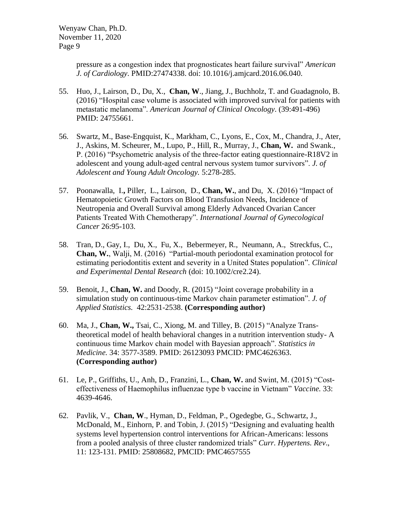pressure as a congestion index that prognosticates heart failure survival" *American J. of Cardiology*. PMID[:27474338.](http://www.ncbi.nlm.nih.gov/pubmed/27474338) doi: 10.1016/j.amjcard.2016.06.040.

- 55. Huo, J., Lairson, D., Du, X., **Chan, W**., Jiang, J., Buchholz, T. and Guadagnolo, B. (2016) "Hospital case volume is associated with improved survival for patients with metastatic melanoma". *American Journal of Clinical Oncology*. (39:491-496) PMID: 24755661.
- 56. Swartz, M., Base-Engquist, K., Markham, C., Lyons, E., Cox, M., Chandra, J., Ater, J., Askins, M. Scheurer, M., Lupo, P., Hill, R., Murray, J., **Chan, W.** and Swank., P. (2016) "Psychometric analysis of the three-factor eating questionnaire-R18V2 in adolescent and young adult-aged central nervous system tumor survivors". *J. of Adolescent and Young Adult Oncology.* 5:278-285.
- 57. Poonawalla, I.**,** Piller, L., Lairson, D., **Chan, W.**, and Du, X. (2016) "Impact of Hematopoietic Growth Factors on Blood Transfusion Needs, Incidence of Neutropenia and Overall Survival among Elderly Advanced Ovarian Cancer Patients Treated With Chemotherapy". *International Journal of Gynecological Cancer* 26:95-103.
- 58. Tran, D., Gay, I., Du, X., Fu, X., Bebermeyer, R., Neumann, A., Streckfus, C., **Chan, W.**, Walji, M. (2016) "Partial-mouth periodontal examination protocol for estimating periodontitis extent and severity in a United States population". *Clinical and Experimental Dental Research* (doi: 10.1002/cre2.24).
- 59. Benoit, J., **Chan, W.** and Doody, R. (2015) "Joint coverage probability in a simulation study on continuous-time Markov chain parameter estimation". *J. of Applied Statistics.* 42:2531-2538. **(Corresponding author)**
- 60. Ma, J., **Chan, W.,** Tsai, C., Xiong, M. and Tilley, B. (2015) "Analyze Transtheoretical model of health behavioral changes in a nutrition intervention study- A continuous time Markov chain model with Bayesian approach". *Statistics in Medicine.* 34: 3577-3589. PMID: 26123093 PMCID: PMC4626363. **(Corresponding author)**
- 61. Le, P., Griffiths, U., Anh, D., Franzini, L., **Chan, W.** and Swint, M. (2015) "Costeffectiveness of Haemophilus influenzae type b vaccine in Vietnam" *Vaccine.* 33: 4639-4646.
- 62. [Pavlik,](http://www.refworks.com/refworks2/default.aspx?r=references|MainLayout::init) V., **[Chan, W](http://www.refworks.com/refworks2/default.aspx?r=references|MainLayout::init)**., [Hyman,](http://www.refworks.com/refworks2/default.aspx?r=references|MainLayout::init) D., [Feldman,](http://www.refworks.com/refworks2/default.aspx?r=references|MainLayout::init) P., [Ogedegbe,](http://www.refworks.com/refworks2/default.aspx?r=references|MainLayout::init) G., [Schwartz,](http://www.refworks.com/refworks2/default.aspx?r=references|MainLayout::init) J., [McDonald,](http://www.refworks.com/refworks2/default.aspx?r=references|MainLayout::init) M., [Einhorn,](http://www.refworks.com/refworks2/default.aspx?r=references|MainLayout::init) P. and [Tobin,](http://www.refworks.com/refworks2/default.aspx?r=references|MainLayout::init) J. (2015) "Designing and evaluating health systems level hypertension control interventions for African-Americans: lessons from a pooled analysis of three cluster randomized trials" *[Curr. Hypertens. Rev](http://www.refworks.com/refworks2/default.aspx?r=references|MainLayout::init)*., 11: 123-131. PMID: [25808682,](https://www.ncbi.nlm.nih.gov/pubmed/25808682) PMCID: PMC4657555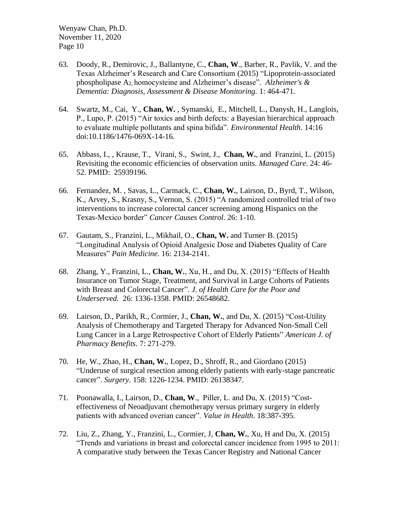- 63. Doody, R., Demirovic, J., Ballantyne, C., **Chan, W**., Barber, R., Pavlik, V. and the Texas Alzheimer's Research and Care Consortium (2015) "Lipoprotein-associated phospholipase A2, homocysteine and Alzheimer's disease". *Alzheimer's & Dementia: Diagnosis, Assessment & Disease Monitoring.* 1: 464-471.
- 64. Swartz, M., Cai, Y., **Chan, W.** , Symanski, E., Mitchell, L., Danysh, H., Langlois, P., Lupo, P. (2015) "Air toxics and birth defects: a Bayesian hierarchical approach to evaluate multiple pollutants and spina bifida". *Environmental Health*. 14:16 doi:10.1186/1476-069X-14-16.
- 65. Abbass, I., [,](http://www.refworks.com/refworks2/default.aspx?r=references|MainLayout::init) [Krause, T.,](http://www.refworks.com/refworks2/default.aspx?r=references|MainLayout::init) [Virani, S.,](http://www.refworks.com/refworks2/default.aspx?r=references|MainLayout::init) [Swint, J.,](http://www.refworks.com/refworks2/default.aspx?r=references|MainLayout::init) **[Chan, W.](http://www.refworks.com/refworks2/default.aspx?r=references|MainLayout::init)**, and [Franzini, L.](http://www.refworks.com/refworks2/default.aspx?r=references|MainLayout::init) (2015) Revisiting the economic efficiencies of observation units. *Managed Care*. 24: 46- 52. PMID: 25939196.
- 66. Fernandez, M. , [Savas, L., Carmack, C.,](http://www.refworks.com/refworks2/default.aspx?r=references|MainLayout::init) **[Chan, W.](http://www.refworks.com/refworks2/default.aspx?r=references|MainLayout::init)**, [Lairson, D., Byrd, T., Wilson,](http://www.refworks.com/refworks2/default.aspx?r=references|MainLayout::init)  [K., Arvey, S., Krasny, S., Vernon, S.](http://www.refworks.com/refworks2/default.aspx?r=references|MainLayout::init) (2015) "A randomized controlled trial of two interventions to increase colorectal cancer screening among Hispanics on the Texas-Mexico border" *[Cancer Causes Control](http://www.refworks.com/refworks2/default.aspx?r=references|MainLayout::init)*. 26: 1-10.
- 67. Gautam, S., Franzini, L., Mikhail, O., **Chan, W.** and Turner, B. (2015) "Longitudinal Analysis of Opioid Analgesic Dose and Diabetes Quality of Care Measures" *Pain Medicine*. 16: 2134-2141.
- 68. Zhang, Y., Franzini, L., **Chan, W.**, Xu, H., and Du, X. (2015) "Effects of Health Insurance on Tumor Stage, Treatment, and Survival in Large Cohorts of Patients with Breast and Colorectal Cancer". *J. of Health Care for the Poor and Underserved.* 26: 1336-1358. PMID: 26548682.
- 69. Lairson, D., Parikh, R., Cormier, J., **Chan, W.**, and Du, X. (2015) "Cost-Utility Analysis of Chemotherapy and Targeted Therapy for Advanced Non-Small Cell Lung Cancer in a Large Retrospective Cohort of Elderly Patients" *American J. of Pharmacy Benefits*. 7: 271-279.
- 70. He, W., Zhao, H., **Chan, W.**, Lopez, D., Shroff, R., and Giordano (2015) "Underuse of surgical resection among elderly patients with early-stage pancreatic cancer". *Surgery.* 158: 1226-1234. PMID: 26138347.
- 71. Poonawalla, I., Lairson, D., **Chan, W**., Piller, L. and Du, X. (2015) "Costeffectiveness of Neoadjuvant chemotherapy versus primary surgery in elderly patients with advanced overian cancer". *Value in Health*. 18:387-395.
- 72. Liu, Z., Zhang, Y., Franzini, L., Cormier, J, **Chan, W.**, Xu, H and Du, X. (2015) "Trends and variations in breast and colorectal cancer incidence from 1995 to 2011: A comparative study between the Texas Cancer Registry and National Cancer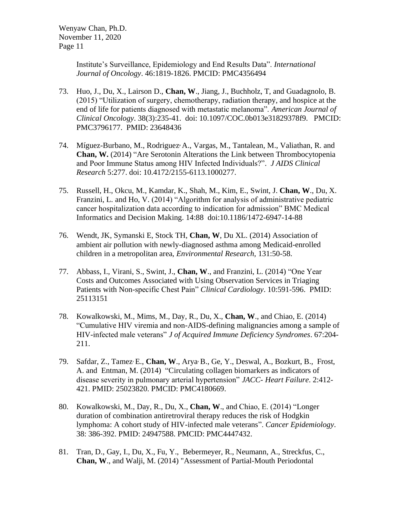> Institute's Surveillance, Epidemiology and End Results Data". *International Journal of Oncology*. 46:1819-1826. PMCID: PMC4356494

- 73. Huo, J., Du, X., Lairson D., **Chan, W**., Jiang, J., Buchholz, T, and Guadagnolo, B. (2015) "Utilization of surgery, chemotherapy, radiation therapy, and hospice at the end of life for patients diagnosed with metastatic melanoma". *American Journal of Clinical Oncology*. 38(3):235-41. doi: 10.1097/COC.0b013e31829378f9. PMCID: PMC3796177. PMID: 23648436
- 74. Míguez-Burbano, M., Rodriguez**,** A., Vargas, M., Tantalean, M., Valiathan, R. and **Chan, W.** (2014) "Are Serotonin Alterations the Link between Thrombocytopenia and Poor Immune Status among HIV Infected Individuals?". *J AIDS Clinical Research* 5:277. doi: 10.4172/2155-6113.1000277.
- 75. Russell, H., Okcu, M., Kamdar, K., Shah, M., Kim, E., Swint, J. **Chan, W**., Du, X. Franzini, L. and Ho, V. (2014) "Algorithm for analysis of administrative pediatric cancer hospitalization data according to indication for admission" BMC Medical Informatics and Decision Making. 14:88 doi:10.1186/1472-6947-14-88
- 76. Wendt, JK, Symanski E, Stock TH, **Chan, W**, Du XL. (2014) Association of ambient air pollution with newly-diagnosed asthma among Medicaid-enrolled children in a metropolitan area, *Environmental Research,* 131:50-58.
- 77. Abbass, I., Virani, S., Swint, J., **Chan, W**., and Franzini, L. (2014) "One Year Costs and Outcomes Associated with Using Observation Services in Triaging Patients with Non-specific Chest Pain" *Clinical Cardiology*. 10:591-596. PMID: 25113151
- 78. Kowalkowski, M., Mims, M., Day, R., Du, X., **Chan, W**., and Chiao, E. (2014) "Cumulative HIV viremia and non-AIDS-defining malignancies among a sample of HIV-infected male veterans" *J of Acquired Immune Deficiency Syndromes*. 67:204- 211.
- 79. Safdar, Z., Tamez, E., **Chan, W**., Arya, B., Ge, Y., Deswal, A., Bozkurt, B., Frost, A. and Entman, M. (2014) "Circulating collagen biomarkers as indicators of disease severity in pulmonary arterial hypertension" *JACC- Heart Failure*. 2:412- 421. PMID: 25023820. PMCID: PMC4180669.
- 80. Kowalkowski, M., Day, R., Du, X., **Chan, W**., and Chiao, E. (2014) "Longer duration of combination antiretroviral therapy reduces the risk of Hodgkin lymphoma: A cohort study of HIV-infected male veterans". *Cancer Epidemiology*. 38: 386-392. PMID: 24947588. PMCID: PMC4447432.
- 81. Tran, D., Gay, I., Du, X., Fu, Y., Bebermeyer, R., Neumann, A., Streckfus, C., **Chan, W**., and Walji, M. (2014) "Assessment of Partial-Mouth Periodontal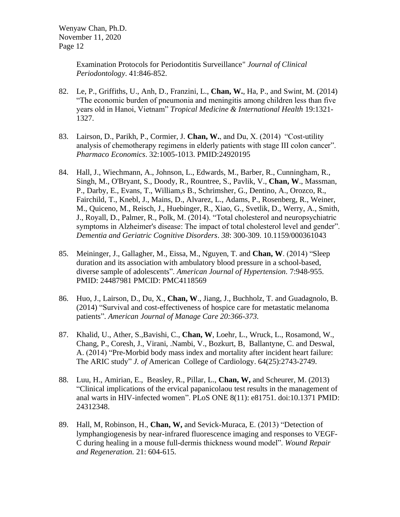> Examination Protocols for Periodontitis Surveillance" *Journal of Clinical Periodontology*. 41:846-852.

- 82. Le, P., Griffiths, U., Anh, D., Franzini, L., **Chan, W.**, Ha, P., and Swint, M. (2014) "The economic burden of pneumonia and meningitis among children less than five years old in Hanoi, Vietnam" *Tropical Medicine & International Health* 19:1321- 1327.
- 83. Lairson, D., Parikh, P., Cormier, J. **Chan, W.**, and Du, X. (2014) "Cost-utility analysis of chemotherapy regimens in elderly patients with stage III colon cancer". *Pharmaco Economics*. 32:1005-1013. PMID:24920195
- 84. Hall, J., Wiechmann, A., Johnson, L., Edwards, M., Barber, R., Cunningham, R., Singh, M., O'Bryant, S., Doody, R., Rountree, S., Pavlik, V., **Chan, W**., Massman, P., Darby, E., Evans, T., William,s B., Schrimsher, G., Dentino, A., Orozco, R., Fairchild, T., Knebl, J., Mains, D., Alvarez, L., Adams, P., Rosenberg, R., Weiner, M., Quiceno, M., Reisch, J., Huebinger, R., Xiao, G., Svetlik, D., Werry, A., Smith, J., Royall, D., Palmer, R., Polk, M. (2014). "Total cholesterol and neuropsychiatric symptoms in Alzheimer's disease: The impact of total cholesterol level and gender". *Dementia and Geriatric Cognitive Disorders*. *38*: 300-309. 10.1159/000361043
- 85. Meininger, J., Gallagher, M., Eissa, M., Nguyen, T. and **Chan, W**. (2014) "Sleep duration and its association with ambulatory blood pressure in a school-based, diverse sample of adolescents". *American Journal of Hypertension.* 7:948-955. PMID: 24487981 PMCID: PMC4118569
- 86. Huo, J., Lairson, D., Du, X., **Chan, W**., Jiang, J., Buchholz, T. and Guadagnolo, B. (2014) "Survival and cost-effectiveness of hospice care for metastatic melanoma patients". *American Journal of Manage Care 20:366-373.*
- 87. Khalid, U., Ather, S.,Bavishi, C., **Chan, W**, Loehr, L., Wruck, L., Rosamond, W., Chang, P., Coresh, J., Virani, .Nambi, V., Bozkurt, B, Ballantyne, C. and Deswal, A. (2014) "Pre-Morbid body mass index and mortality after incident heart failure: The ARIC study" *J. of* American College of Cardiology. 64(25):2743-2749.
- 88. Luu, H., Amirian, E., Beasley, R., Pillar, L., **Chan, W,** and Scheurer, M. (2013) "Clinical implications of the ervical papanicolaou test results in the management of anal warts in HIV-infected women". PLoS ONE 8(11): e81751. doi:10.1371 PMID: 24312348.
- 89. [Hall, M,](http://www.ncbi.nlm.nih.gov/pubmed?term=Hall%20MA%5BAuthor%5D&cauthor=true&cauthor_uid=23758174) [Robinson, H.](http://www.ncbi.nlm.nih.gov/pubmed?term=Robinson%20H%5BAuthor%5D&cauthor=true&cauthor_uid=23758174), **Chan, W,** and [Sevick-Muraca, E.](http://www.ncbi.nlm.nih.gov/pubmed?term=Sevick-Muraca%20EM%5BAuthor%5D&cauthor=true&cauthor_uid=23758174) (2013) "Detection of lymphangiogenesis by near-infrared fluorescence imaging and responses to VEGF-C during healing in a mouse full-dermis thickness wound model". *Wound Repair and Regeneration.* 21: 604-615.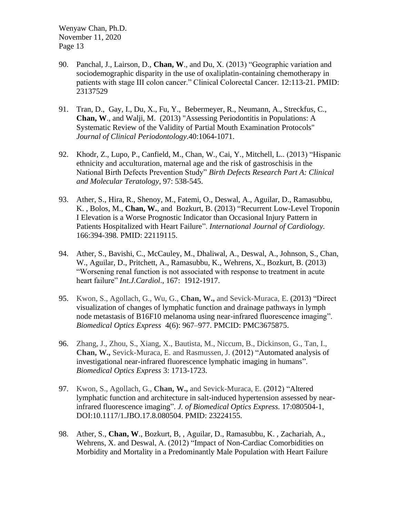- 90. Panchal, J., Lairson, D., **Chan, W**., and Du, X. (2013) "Geographic variation and sociodemographic disparity in the use of oxaliplatin-containing chemotherapy in patients with stage III colon cancer." Clinical Colorectal Cancer. 12:113-21. PMID: 23137529
- 91. Tran, D., Gay, I., Du, X., Fu, Y., Bebermeyer, R., Neumann, A., Streckfus, C., **Chan, W**., and Walji, M. (2013) "Assessing Periodontitis in Populations: A Systematic Review of the Validity of Partial Mouth Examination Protocols" *Journal of Clinical Periodontology*.40:1064-1071.
- 92. Khodr, Z., [Lupo, P., Canfield, M., Chan, W., Cai, Y., Mitchell, L..](http://www.refworks.com/refworks2/default.aspx?r=references|MainLayout::init) (2013) "Hispanic ethnicity and acculturation, maternal age and the risk of gastroschisis in the National Birth Defects Prevention Study" *Birth Defects Research Part A: Clinical and Molecular Teratology*, 97: 538-545.
- 93. Ather, S., Hira, R., Shenoy, M., Fatemi, O., [Deswal,](http://circheartfailure.ahajournals.org/search?author1=Anita+Deswal&sortspec=date&submit=Submit) A., [Aguilar,](http://circheartfailure.ahajournals.org/search?author1=David+Aguilar&sortspec=date&submit=Submit) D., [Ramasubbu,](http://circheartfailure.ahajournals.org/search?author1=Kumudha+Ramasubbu&sortspec=date&submit=Submit) K. , Bolos, M., **[Chan, W.](http://circheartfailure.ahajournals.org/search?author1=Biykem+Bozkurt&sortspec=date&submit=Submit)**, and Bozkurt, B. (2013) "Recurrent Low-Level Troponin I Elevation is a Worse Prognostic Indicator than Occasional Injury Pattern in Patients Hospitalized with Heart Failure". *International Journal of Cardiology.*  166:394-398. PMID: 22119115.
- 94. [Ather, S., Bavishi, C.,](http://www.refworks.com/refworks2/default.aspx?r=references|MainLayout::init) McCauley, M., [Dhaliwal, A., Deswal, A., Johnson, S., Chan,](http://www.refworks.com/refworks2/default.aspx?r=references|MainLayout::init)  [W., Aguilar, D., Pritchett, A., Ramasubbu, K., Wehrens, X., Bozkurt, B.](http://www.refworks.com/refworks2/default.aspx?r=references|MainLayout::init) (2013) "Worsening renal function is not associated with response to treatment in acute heart failure" *[Int.J.Cardiol](http://www.refworks.com/refworks2/default.aspx?r=references|MainLayout::init)*., 167: 1912-1917.
- 95. Kwon, S., Agollach, G., Wu, G., **Chan, W.,** and Sevick-Muraca, E. (2013) "Direct visualization of changes of lymphatic function and drainage pathways in lymph node metastasis of B16F10 melanoma using near-infrared fluorescence imaging". *Biomedical Optics Express* 4(6): 967–977. PMCID: PMC3675875.
- 96. Zhang, J., Zhou, S., Xiang, X., Bautista, M., Niccum, B., Dickinson, G., Tan, I., **Chan, W.,** Sevick-Muraca, E. and Rasmussen, J. (2012) "Automated analysis of investigational near-infrared fluorescence lymphatic imaging in humans". *Biomedical Optics Express* 3: 1713-1723.
- 97. Kwon, S., Agollach, G., **Chan, W.,** and Sevick-Muraca, E. (2012) "Altered lymphatic function and architecture in salt-induced hypertension assessed by nearinfrared fluorescence imaging". *J. of Biomedical Optics Express.* 17:080504-1, DOI:10.1117/1.JBO.17.8.080504. PMID: 23224155.
- 98. Ather, S., **Chan, W**., Bozkurt, B, , [Aguilar,](http://circheartfailure.ahajournals.org/search?author1=David+Aguilar&sortspec=date&submit=Submit) D., [Ramasubbu,](http://circheartfailure.ahajournals.org/search?author1=Kumudha+Ramasubbu&sortspec=date&submit=Submit) K. , Zachariah, A., Wehrens, X. and [Deswal,](http://circheartfailure.ahajournals.org/search?author1=Anita+Deswal&sortspec=date&submit=Submit) A. (2012) "Impact of Non-Cardiac Comorbidities on Morbidity and Mortality in a Predominantly Male Population with Heart Failure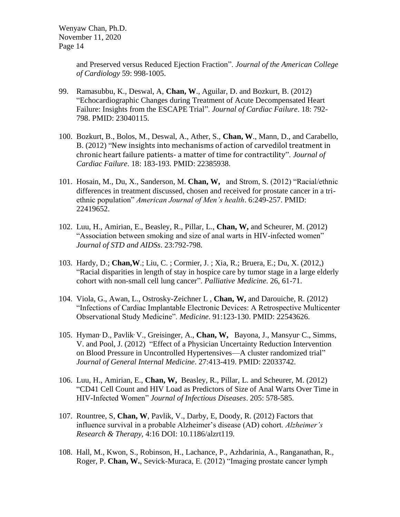> and Preserved versus Reduced Ejection Fraction". *Journal of the American College of Cardiology* 59: 998-1005.

- 99. Ramasubbu, K., Deswal, A, **Chan, W**., [Aguilar,](http://circheartfailure.ahajournals.org/search?author1=David+Aguilar&sortspec=date&submit=Submit) D. and [Bozkurt,](http://circheartfailure.ahajournals.org/search?author1=Biykem+Bozkurt&sortspec=date&submit=Submit) B. (2012) "Echocardiographic Changes during Treatment of Acute Decompensated Heart Failure: Insights from the ESCAPE Trial". *Journal of Cardiac Failure*. 18: 792- 798. PMID: 23040115.
- 100. Bozkurt, B., Bolos, M., Deswal, A., Ather, S., **Chan, W**., Mann, D., and Carabello, B. (2012) "New insights into mechanisms of action of carvedilol treatment in chronic heart failure patients- a matter of time for contractility". *Journal of Cardiac Failure*. 18: 183-193. PMID: 22385938.
- 101. Hosain, M., Du, X., Sanderson, M. **Chan, W,** and Strom, S. (2012) "Racial/ethnic differences in treatment discussed, chosen and received for prostate cancer in a triethnic population" *American Journal of Men's health*. 6:249-257. PMID: 22419652.
- 102. Luu, H., Amirian, E., Beasley, R., Pillar, L., **Chan, W,** and Scheurer, M. (2012) "Association between smoking and size of anal warts in HIV-infected women" *Journal of STD and AIDSs*. 23:792-798.
- 103. [Hardy, D.;](http://www.refworks.com/refworks2/default.aspx?r=references|MainLayout::init) **[Chan,W](http://www.refworks.com/refworks2/default.aspx?r=references|MainLayout::init)**.; [Liu, C. ; Cormier, J. ; Xia, R.; Bruera, E.; Du, X.](http://www.refworks.com/refworks2/default.aspx?r=references|MainLayout::init) (2012,) "Racial disparities in length of stay in hospice care by tumor stage in a large elderly cohort with non-small cell lung cancer". *[Palliative](http://www.refworks.com/refworks2/default.aspx?r=references|MainLayout::init) Medicine*. 26, 61-71.
- 104. Viola, G., Awan, L., Ostrosky-Zeichner L , **Chan, W,** and Darouiche, R. (2012) "Infections of Cardiac Implantable Electronic Devices: A Retrospective Multicenter Observational Study Medicine". *Medicine*. 91:123-130. PMID: 22543626.
- 105. Hyman, D., Pavlik, V., Greisinger, A., **Chan, W,** Bayona, J., Mansyur, C., Simms, V. and Pool, J. (2012) "Effect of a Physician Uncertainty Reduction Intervention on Blood Pressure in Uncontrolled Hypertensives—A cluster randomized trial" *Journal of General Internal Medicine*. 27:413-419. PMID: 22033742.
- 106. Luu, H., Amirian, E., **Chan, W,** Beasley, R., Pillar, L. and Scheurer, M. (2012) "CD41 Cell Count and HIV Load as Predictors of Size of Anal Warts Over Time in HIV-Infected Women" *Journal of Infectious Diseases*. 205: 578-585.
- 107. Rountree, S, **Chan, W**, Pavlik, V., Darby, E, Doody, R. (2012) Factors that influence survival in a probable Alzheimer's disease (AD) cohort. *Alzheimer's Research & Therapy,* 4:16 DOI: 10.1186/alzrt119*.*
- 108. Hall, M., Kwon, S., Robinson, H., Lachance, P., Azhdarinia, A., Ranganathan, R., Roger, P. **Chan, W.**, Sevick-Muraca, E. (2012) "Imaging prostate cancer lymph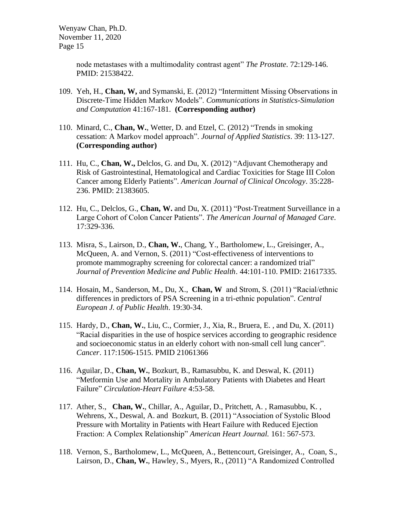> node metastases with a multimodality contrast agent" *The Prostate*. 72:129-146. PMID: 21538422.

- 109. Yeh, H., **Chan, W,** and Symanski, E. (2012) "Intermittent Missing Observations in Discrete-Time Hidden Markov Models". *Communications in Statistics-Simulation and Computation* 41:167-181. **(Corresponding author)**
- 110. Minard, C., **Chan, W.**, Wetter, D. and Etzel, C. (2012) "Trends in smoking cessation: A Markov model approach". *Journal of Applied Statistics*. 39: 113-127. **(Corresponding author)**
- 111. Hu, C., **Chan, W.,** Delclos, G. and Du, X. (2012) "Adjuvant Chemotherapy and Risk of Gastrointestinal, Hematological and Cardiac Toxicities for Stage III Colon Cancer among Elderly Patients". *American Journal of Clinical Oncology*. 35:228- 236. PMID: 21383605.
- 112. Hu, C., Delclos, G., **Chan, W.** and Du, X. (2011) "Post-Treatment Surveillance in a Large Cohort of Colon Cancer Patients". *The American Journal of Managed Care*. 17:329-336.
- 113. Misra, S., Lairson, D., **Chan, W.**, Chang, Y., Bartholomew, L., Greisinger, A., McQueen, A. and Vernon, S. (2011) "Cost-effectiveness of interventions to promote mammography screening for colorectal cancer: a randomized trial" *Journal of Prevention Medicine and Public Health*. 44:101-110. PMID: 21617335.
- 114. Hosain, M., Sanderson, M., Du, X., **Chan, W** and Strom, S. (2011) "Racial/ethnic differences in predictors of PSA Screening in a tri-ethnic population". *Central European J. of Public Health*. 19:30-34.
- 115. Hardy, D., **Chan, W.**, Liu, C., Cormier, J., Xia, R., Bruera, E. , and Du, X. (2011) "Racial disparities in the use of hospice services according to geographic residence and socioeconomic status in an elderly cohort with non-small cell lung cancer". *Cancer*. 117:1506-1515. PMID 21061366
- 116. [Aguilar,](http://circheartfailure.ahajournals.org/search?author1=David+Aguilar&sortspec=date&submit=Submit) D., **[Chan, W.](http://circheartfailure.ahajournals.org/search?author1=Biykem+Bozkurt&sortspec=date&submit=Submit)**, Bozkurt, B., [Ramasubbu,](http://circheartfailure.ahajournals.org/search?author1=Kumudha+Ramasubbu&sortspec=date&submit=Submit) K. and [Deswal,](http://circheartfailure.ahajournals.org/search?author1=Anita+Deswal&sortspec=date&submit=Submit) K. (2011) "Metformin Use and Mortality in Ambulatory Patients with Diabetes and Heart Failure" *Circulation-Heart Failure* 4:53-58.
- 117. Ather, S., **Chan, W.**[, Chillar, A., Aguilar, D., Pritchett, A. ,](http://circheartfailure.ahajournals.org/search?author1=Biykem+Bozkurt&sortspec=date&submit=Submit) [Ramasubbu,](http://circheartfailure.ahajournals.org/search?author1=Kumudha+Ramasubbu&sortspec=date&submit=Submit) K. , Wehrens, X., [Deswal,](http://circheartfailure.ahajournals.org/search?author1=Anita+Deswal&sortspec=date&submit=Submit) A. and Bozkurt, B. (2011) "Association of Systolic Blood Pressure with Mortality in Patients with Heart Failure with Reduced Ejection Fraction: A Complex Relationship" *American Heart Journal.* 161: 567-573.
- 118. Vernon, S., Bartholomew, L., McQueen, A., Bettencourt, Greisinger, A., Coan, S., Lairson, D., **Chan, W.**, Hawley, S., Myers, R., (2011) "A Randomized Controlled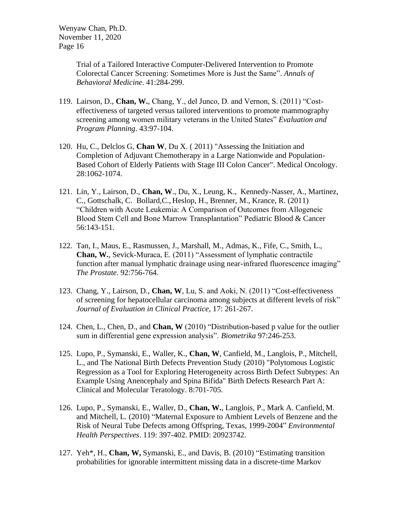> Trial of a Tailored Interactive Computer-Delivered Intervention to Promote Colorectal Cancer Screening: Sometimes More is Just the Same". *Annals of Behavioral Medicine*. 41:284-299.

- 119. Lairson, D., **Chan, W.**, Chang, Y., del Junco, D. and Vernon, S. (2011) "Costeffectiveness of targeted versus tailored interventions to promote mammography screening among women military veterans in the United States" *Evaluation and Program Planning*. 43:97-104.
- 120. Hu, C., Delclos G, **Chan W**, Du X. ( 2011) "Assessing the Initiation and Completion of Adjuvant Chemotherapy in a Large Nationwide and Population-Based Cohort of Elderly Patients with Stage III Colon Cancer". Medical Oncology. 28:1062-1074.
- 121. Lin, Y., Lairson, D., **Chan, W**., Du, X., Leung, K., Kennedy-Nasser, A., Martinez, C., Gottschalk, C. Bollard,C., Heslop, H., Brenner, M., Krance, R. (2011) "Children with Acute Leukemia: A Comparison of Outcomes from Allogeneic Blood Stem Cell and Bone Marrow Transplantation" Pediatric Blood & Cancer 56:143-151.
- 122. Tan, I., Maus, E., Rasmussen, J., Marshall, M., Admas, K., Fife, C., Smith, L., **Chan, W.**, Sevick-Muraca, E. (2011) "Assessment of lymphatic contractile function after manual lymphatic drainage using near-infrared fluorescence imaging" *The Prostate*. 92:756-764.
- 123. Chang, Y., Lairson, D., **Chan, W**, Lu, S. and Aoki, N. (2011) "Cost-effectiveness of screening for hepatocellular carcinoma among subjects at different levels of risk" *Journal of Evaluation in Clinical Practice,* 17: 261-267.
- 124. Chen, L., Chen, D., and **Chan, W** (2010) "Distribution-based p value for the outlier sum in differential gene expression analysis". *Biometrika* 97:246-253.
- 125. Lupo, P., Symanski, E., Waller, K., **Chan, W**, Canfield, M., Langlois, P., Mitchell, L., and The National Birth Defects Prevention Study (2010) "Polytomous Logistic Regression as a Tool for Exploring Heterogeneity across Birth Defect Subtypes: An Example Using Anencephaly and Spina Bifida" Birth Defects Research Part A: Clinical and Molecular Teratology. 8:701-705.
- 126. Lupo, P., Symanski, E., Waller, D., **Chan, W.**, Langlois, P., Mark A. Canfield, M. and Mitchell, L. (2010) "Maternal Exposure to Ambient Levels of Benzene and the Risk of Neural Tube Defects among Offspring, Texas, 1999-2004" *Environmental Health Perspectives*. 119: 397-402. PMID: 20923742.
- 127. Yeh\*, H., **Chan, W,** Symanski, E., and Davis, B. (2010) "Estimating transition probabilities for ignorable intermittent missing data in a discrete-time Markov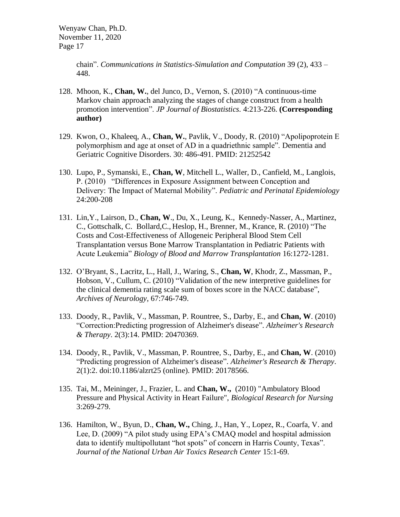chain". *Communications in Statistics-Simulation and Computation* 39 (2), 433 – 448.

- 128. Mhoon, K., **Chan, W.**, del Junco, D., Vernon, S. (2010) "A continuous-time Markov chain approach analyzing the stages of change construct from a health promotion intervention". *JP Journal of Biostatistics.* 4:213-226. **(Corresponding author)**
- 129. Kwon, O., Khaleeq, A., **Chan, W.**, Pavlik, V., Doody, R. (2010) "Apolipoprotein E polymorphism and age at onset of AD in a quadriethnic sample". Dementia and Geriatric Cognitive Disorders. 30: 486-491. PMID: 21252542
- 130. Lupo, P., Symanski, E., **Chan, W**, Mitchell L., Waller, D., Canfield, M., Langlois, P. (2010) "Differences in Exposure Assignment between Conception and Delivery: The Impact of Maternal Mobility". *Pediatric and Perinatal Epidemiology*  24:200-208
- 131. Lin,Y., Lairson, D., **Chan, W**., Du, X., Leung, K., Kennedy-Nasser, A., Martinez, C., Gottschalk, C. Bollard,C., Heslop, H., Brenner, M., Krance, R. (2010) "The Costs and Cost-Effectiveness of Allogeneic Peripheral Blood Stem Cell Transplantation versus Bone Marrow Transplantation in Pediatric Patients with Acute Leukemia" *Biology of Blood and Marrow Transplantation* 16:1272-1281.
- 132. O'Bryant, S., Lacritz, L., Hall, J., Waring, S., **Chan, W**, Khodr, Z., Massman, P., Hobson, V., Cullum, C. (2010) "Validation of the new interpretive guidelines for the clinical dementia rating scale sum of boxes score in the NACC database", *Archives of Neurology*, 67:746-749.
- 133. Doody, R., Pavlik, V., Massman, P. Rountree, S., Darby, E., and **Chan, W**. (2010) "Correction:Predicting progression of Alzheimer's disease". *Alzheimer's Research & Therapy*. 2(3):14. PMID: 20470369.
- 134. Doody, R., Pavlik, V., Massman, P. Rountree, S., Darby, E., and **Chan, W**. (2010) "Predicting progression of Alzheimer's disease". *Alzheimer's Research & Therapy*. 2(1):2. doi:10.1186/alzrt25 (online). PMID: 20178566.
- 135. Tai, M., Meininger, J., Frazier, L. and **Chan, W.,** (2010) "Ambulatory Blood Pressure and Physical Activity in Heart Failure", *Biological Research for Nursing* 3:269-279.
- 136. Hamilton, W., Byun, D., **Chan, W.,** Ching, J., Han, Y., Lopez, R., Coarfa, V. and Lee, D. (2009) "A pilot study using EPA's CMAQ model and hospital admission data to identify multipollutant "hot spots" of concern in Harris County, Texas". *Journal of the National Urban Air Toxics Research Center* 15:1-69.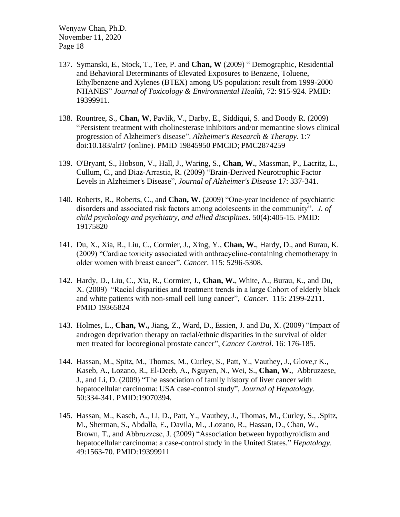- 137. Symanski, E., Stock, T., Tee, P. and **Chan, W** (2009) " Demographic, Residential and Behavioral Determinants of Elevated Exposures to Benzene, Toluene, Ethylbenzene and Xylenes (BTEX) among US population: result from 1999-2000 NHANES" *Journal of Toxicology & Environmental Health*, 72: 915-924. PMID: 19399911.
- 138. Rountree, S., **Chan, W**, Pavlik, V., Darby, E., Siddiqui, S. and Doody R. (2009) "Persistent treatment with cholinesterase inhibitors and/or memantine slows clinical progression of Alzheimer's disease". *Alzheimer's Research & Therapy*. 1:7 doi:10.183/alrt7 (online). PMID 19845950 PMCID; PMC2874259
- 139. O'Bryant, S., Hobson, V., Hall, J., Waring, S., **Chan, W.**, Massman, P., Lacritz, L., Cullum, C., and Diaz-Arrastia, R. (2009) "Brain-Derived Neurotrophic Factor Levels in Alzheimer's Disease", *Journal of Alzheimer's Disease* 17: 337-341.
- 140. Roberts, R., Roberts, C., and **Chan, W**. (2009) "One-year incidence of psychiatric disorders and associated risk factors among adolescents in the community". *J. of child psychology and psychiatry, and allied disciplines*. 50(4):405-15. PMID: 19175820
- 141. Du, X., Xia, R., Liu, C., Cormier, J., Xing, Y., **Chan, W.**, Hardy, D., and Burau, K. (2009) "Cardiac toxicity associated with anthracycline-containing chemotherapy in older women with breast cancer". *Cancer*. 115: 5296-5308.
- 142. Hardy, D., Liu, C., Xia, R., Cormier, J., **Chan, W.**, White, A., Burau, K., and Du, X. (2009) "Racial disparities and treatment trends in a large Cohort of elderly black and white patients with non-small cell lung cancer", *Cancer*. 115: 2199-2211. PMID 19365824
- 143. Holmes, L., **Chan, W.,** Jiang, Z., Ward, D., Essien, J. and Du, X. (2009) "Impact of androgen deprivation therapy on racial/ethnic disparities in the survival of older men treated for locoregional prostate cancer", *Cancer Control*. 16: 176-185.
- 144. Hassan, M., Spitz, M., Thomas, M., Curley, S., Patt, Y., Vauthey, J., Glove,r K., Kaseb, A., Lozano, R., El-Deeb, A., Nguyen, N., Wei, S., **Chan, W.**, Abbruzzese, J., and Li, D. (2009) "The association of family history of liver cancer with hepatocellular carcinoma: USA case-control study", *Journal of Hepatology*. 50:334-341. PMID:19070394.
- 145. Hassan, M., [Kaseb, A.](http://www.ncbi.nlm.nih.gov/pubmed/?term=Kaseb%20A%5BAuthor%5D&cauthor=true&cauthor_uid=19399911), [Li, D.](http://www.ncbi.nlm.nih.gov/pubmed/?term=Li%20D%5BAuthor%5D&cauthor=true&cauthor_uid=19399911), Patt, Y., Vauthey, J., Thomas, M., Curley, S., .Spitz, M., Sherman, S., Abdalla, E., [Davila, M.](http://www.ncbi.nlm.nih.gov/pubmed/?term=Davila%20M%5BAuthor%5D&cauthor=true&cauthor_uid=19399911), .Lozano, R., [Hassan, D.,](http://www.ncbi.nlm.nih.gov/pubmed/?term=Hassan%20DM%5BAuthor%5D&cauthor=true&cauthor_uid=19399911) [Chan, W.](http://www.ncbi.nlm.nih.gov/pubmed/?term=Chan%20W%5BAuthor%5D&cauthor=true&cauthor_uid=19399911), Brown, T., and Abbruzzese, J. (2009) ["Association between hypothyroidism and](http://www.ncbi.nlm.nih.gov/pubmed/19399911)  [hepatocellular carcinoma: a case-control study in the United States."](http://www.ncbi.nlm.nih.gov/pubmed/19399911) *Hepatology*. 49:1563-70. PMID:19399911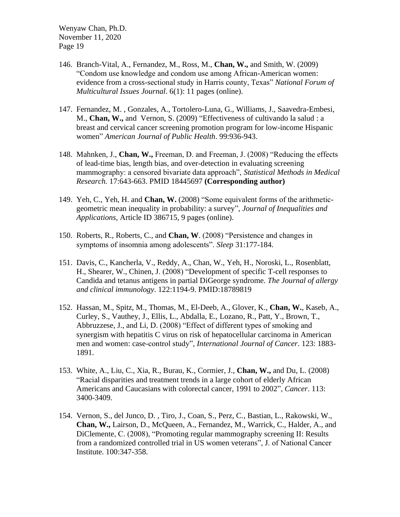- 146. Branch-Vital, A., Fernandez, M., Ross, M., **Chan, W.,** and Smith, W. (2009) "Condom use knowledge and condom use among African-American women: evidence from a cross-sectional study in Harris county, Texas" *National Forum of Multicultural Issues Journal*. 6(1): 11 pages (online).
- 147. Fernandez, M. , Gonzales, A., Tortolero-Luna, G., Williams, J., Saavedra-Embesi, M., **Chan, W.,** and Vernon, S. (2009) "Effectiveness of cultivando la salud : a breast and cervical cancer screening promotion program for low-income Hispanic women" *American Journal of Public Health*. 99:936-943.
- 148. Mahnken, J., **Chan, W.,** Freeman, D. and Freeman, J. (2008) "Reducing the effects of lead-time bias, length bias, and over-detection in evaluating screening mammography: a censored bivariate data approach", *Statistical Methods in Medical Research.* 17:643-663. PMID 18445697 **(Corresponding author)**
- 149. Yeh, C., Yeh, H. and **Chan, W.** (2008) "Some equivalent forms of the arithmeticgeometric mean inequality in probability: a survey", *Journal of Inequalities and Applications*, Article ID 386715, 9 pages (online).
- 150. Roberts, R., Roberts, C., and **Chan, W**. (2008) "Persistence and changes in symptoms of insomnia among adolescents". *Sleep* 31:177-184.
- 151. Davis, C., Kancherla, V., Reddy, A., Chan, W., Yeh, H., Noroski, L., [Rosenblatt,](http://www.ncbi.nlm.nih.gov/pubmed/?term=Rosenblatt%20H%5BAuthor%5D&cauthor=true&cauthor_uid=18789819)  [H.](http://www.ncbi.nlm.nih.gov/pubmed/?term=Rosenblatt%20H%5BAuthor%5D&cauthor=true&cauthor_uid=18789819), Shearer, W., [Chinen, J.](http://www.ncbi.nlm.nih.gov/pubmed/?term=Chinen%20J%5BAuthor%5D&cauthor=true&cauthor_uid=18789819) (2008) ["Development of specific T-cell responses to](http://www.ncbi.nlm.nih.gov/pubmed/18789819)  [Candida and tetanus antigens in partial DiGeorge syndrome.](http://www.ncbi.nlm.nih.gov/pubmed/18789819) *The Journal of allergy and clinical immunology*. 122:1194-9. PMID:18789819
- 152. Hassan, M., Spitz, M., Thomas, M., El-Deeb, A., Glover, K., **Chan, W.**, Kaseb, A., Curley, S., Vauthey, J., Ellis, L., Abdalla, E., Lozano, R., Patt, Y., Brown, T., Abbruzzese, J., and Li, D. (2008) "Effect of different types of smoking and synergism with hepatitis C virus on risk of hepatocellular carcinoma in American men and women: case-control study", *International Journal of Cancer*. 123: 1883- 1891.
- 153. White, A., Liu, C., Xia, R., Burau, K., Cormier, J., **Chan, W.,** and Du, L. (2008) "Racial disparities and treatment trends in a large cohort of elderly African Americans and Caucasians with colorectal cancer, 1991 to 2002", *Cancer*. 113: 3400-3409.
- 154. Vernon, S., del Junco, D. , Tiro, J., Coan, S., Perz, C., Bastian, L., Rakowski, W., **Chan, W.,** Lairson, D., McQueen, A., Fernandez, M., Warrick, C., Halder, A., and DiClemente, C. (2008), "Promoting regular mammography screening II: Results from a randomized controlled trial in US women veterans", J. of National Cancer Institute. 100:347-358.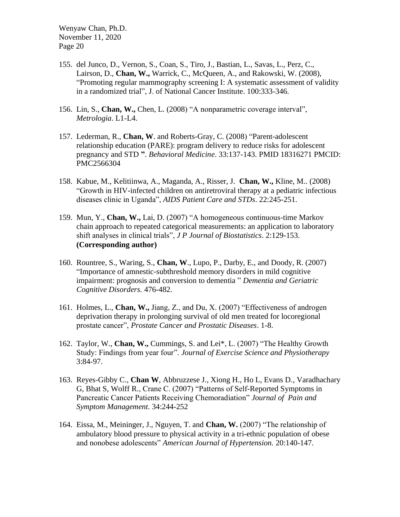- 155. del Junco, D., Vernon, S., Coan, S., Tiro, J., Bastian, L., Savas, L., Perz, C., Lairson, D., **Chan, W.,** Warrick, C., McQueen, A., and Rakowski, W. (2008), "Promoting regular mammography screening I: A systematic assessment of validity in a randomized trial", J. of National Cancer Institute. 100:333-346.
- 156. Lin, S., **Chan, W.,** Chen, L. (2008) "A nonparametric coverage interval", *Metrologia*. L1-L4.
- 157. Lederman, R., **Chan, W**. and Roberts-Gray, C. (2008) "Parent-adolescent relationship education (PARE): program delivery to reduce risks for adolescent pregnancy and STD **"**. *Behavioral Medicine*. 33:137-143. PMID 18316271 PMCID: PMC2566304
- 158. Kabue, M., Kelitiinwa, A., Maganda, A., Risser, J. **Chan, W.,** Kline, M.. (2008) "Growth in HIV-infected children on antiretroviral therapy at a pediatric infectious diseases clinic in Uganda", *AIDS Patient Care and STDs*. 22:245-251.
- 159. Mun, Y., **Chan, W.,** Lai, D. (2007) "A homogeneous continuous-time Markov chain approach to repeated categorical measurements: an application to laboratory shift analyses in clinical trials", *J P Journal of Biostatistics*. 2:129-153. **(Corresponding author)**
- 160. Rountree, S., Waring, S., **Chan, W**., Lupo, P., Darby, E., and Doody, R. (2007) "Importance of amnestic-subthreshold memory disorders in mild cognitive impairment: prognosis and conversion to dementia " *Dementia and Geriatric Cognitive Disorders.* 476-482.
- 161. Holmes, L., **Chan, W.,** Jiang, Z., and Du, X. (2007) "Effectiveness of androgen deprivation therapy in prolonging survival of old men treated for locoregional prostate cancer", *Prostate Cancer and Prostatic Diseases*. 1-8.
- 162. Taylor, W., **Chan, W.,** Cummings, S. and Lei\*, L. (2007) "The Healthy Growth Study: Findings from year four". *Journal of Exercise Science and Physiotherapy* 3:84-97.
- 163. Reyes-Gibby C., **Chan W**, Abbruzzese J., Xiong H., Ho L, Evans D., Varadhachary G, Bhat S, Wolff R., Crane C. (2007) "Patterns of Self-Reported Symptoms in Pancreatic Cancer Patients Receiving Chemoradiation" *Journal of Pain and Symptom Management*. 34:244-252
- 164. Eissa, M., Meininger, J., Nguyen, T. and **Chan, W.** (2007) "The relationship of ambulatory blood pressure to physical activity in a tri-ethnic population of obese and nonobese adolescents" *American Journal of Hypertension.* 20:140-147.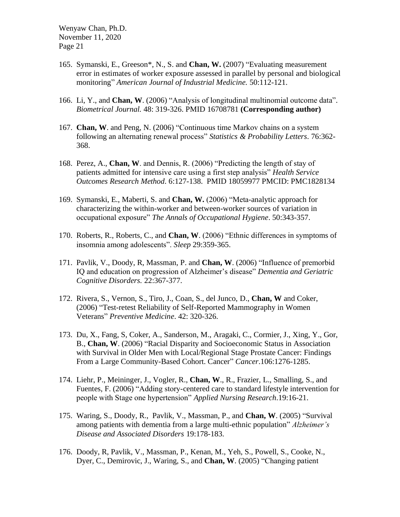- 165. Symanski, E., Greeson\*, N., S. and **Chan, W.** (2007) "Evaluating measurement error in estimates of worker exposure assessed in parallel by personal and biological monitoring" *American Journal of Industrial Medicine.* 50:112-121.
- 166. Li, Y., and **Chan, W**. (2006) "Analysis of longitudinal multinomial outcome data". *Biometrical Journal.* 48: 319-326. PMID 16708781 **(Corresponding author)**
- 167. **Chan, W**. and Peng, N. (2006) "Continuous time Markov chains on a system following an alternating renewal process" *Statistics & Probability Letters.* 76:362- 368.
- 168. Perez, A., **Chan, W**. and Dennis, R. (2006) "Predicting the length of stay of patients admitted for intensive care using a first step analysis" *Health Service Outcomes Research Method*. 6:127-138. PMID 18059977 PMCID: PMC1828134
- 169. Symanski, E., Maberti, S. and **Chan, W.** (2006) "Meta-analytic approach for characterizing the within-worker and between-worker sources of variation in occupational exposure" *The Annals of Occupational Hygiene*. 50:343-357.
- 170. Roberts, R., Roberts, C., and **Chan, W**. (2006) "Ethnic differences in symptoms of insomnia among adolescents". *Sleep* 29:359-365.
- 171. Pavlik, V., Doody, R, Massman, P. and **Chan, W**. (2006) "Influence of premorbid IQ and education on progression of Alzheimer's disease" *Dementia and Geriatric Cognitive Disorders.* 22:367-377.
- 172. Rivera, S., Vernon, S., Tiro, J., Coan, S., del Junco, D., **Chan, W** and Coker, (2006) "Test-retest Reliability of Self-Reported Mammography in Women Veterans" *Preventive Medicine*. 42: 320-326.
- 173. Du, X., Fang, S, Coker, A., Sanderson, M., Aragaki, C., Cormier, J., Xing, Y., Gor, B., **Chan, W**. (2006) "Racial Disparity and Socioeconomic Status in Association with Survival in Older Men with Local/Regional Stage Prostate Cancer: Findings From a Large Community-Based Cohort. Cancer" *Cancer*.106:1276-1285.
- 174. Liehr, P., Meininger, J., Vogler, R., **Chan, W**., R., Frazier, L., Smalling, S., and Fuentes, F. (2006) "Adding story-centered care to standard lifestyle intervention for people with Stage one hypertension" *Applied Nursing Research*.19:16-21.
- 175. Waring, S., Doody, R., Pavlik, V., Massman, P., and **Chan, W**. (2005) "Survival among patients with dementia from a large multi-ethnic population" *Alzheimer's Disease and Associated Disorders* 19:178-183.
- 176. Doody, R, Pavlik, V., Massman, P., Kenan, M., Yeh, S., Powell, S., Cooke, N., Dyer, C., Demirovic, J., Waring, S., and **Chan, W**. (2005) "Changing patient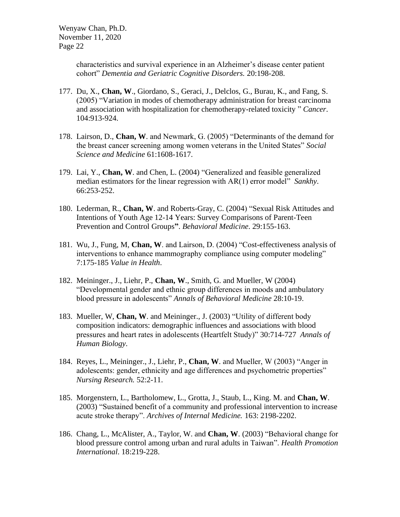characteristics and survival experience in an Alzheimer's disease center patient cohort" *Dementia and Geriatric Cognitive Disorders.* 20:198-208.

- 177. Du, X., **Chan, W**., Giordano, S., Geraci, J., Delclos, G., Burau, K., and Fang, S. (2005) "Variation in modes of chemotherapy administration for breast carcinoma and association with hospitalization for chemotherapy-related toxicity " *Cancer*. 104:913-924.
- 178. Lairson, D., **Chan, W**. and Newmark, G. (2005) "Determinants of the demand for the breast cancer screening among women veterans in the United States" *Social Science and Medicine* 61:1608-1617.
- 179. Lai, Y., **Chan, W**. and Chen, L. (2004) "Generalized and feasible generalized median estimators for the linear regression with AR(1) error model" *Sankhy*. 66:253-252.
- 180. Lederman, R., **Chan, W**. and Roberts-Gray, C. (2004) "Sexual Risk Attitudes and Intentions of Youth Age 12-14 Years: Survey Comparisons of Parent-Teen Prevention and Control Groups**"**. *Behavioral Medicine*. 29:155-163.
- 181. Wu, J., Fung, M, **Chan, W**. and Lairson, D. (2004) "Cost-effectiveness analysis of interventions to enhance mammography compliance using computer modeling" 7:175-185 *Value in Health*.
- 182. Meininger., J., Liehr, P., **Chan, W**., Smith, G. and Mueller, W (2004) "Developmental gender and ethnic group differences in moods and ambulatory blood pressure in adolescents" *Annals of Behavioral Medicine* 28:10-19.
- 183. Mueller, W, **Chan, W**. and Meininger., J. (2003) "Utility of different body composition indicators: demographic influences and associations with blood pressures and heart rates in adolescents (Heartfelt Study)" 30:714-727 *Annals of Human Biology*.
- 184. Reyes, L., Meininger., J., Liehr, P., **Chan, W**. and Mueller, W (2003) "Anger in adolescents: gender, ethnicity and age differences and psychometric properties" *Nursing Research.* 52:2-11.
- 185. Morgenstern, L., Bartholomew, L., Grotta, J., Staub, L., King. M. and **Chan, W**. (2003) "Sustained benefit of a community and professional intervention to increase acute stroke therapy". *Archives of Internal Medicine.* 163: 2198-2202.
- 186. Chang, L., McAlister, A., Taylor, W. and **Chan, W**. (2003) "Behavioral change for blood pressure control among urban and rural adults in Taiwan". *Health Promotion International*. 18:219-228.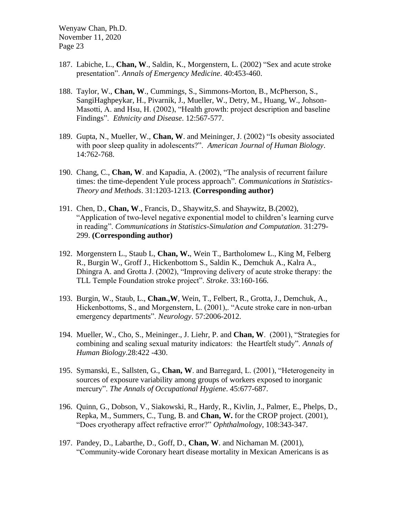- 187. Labiche, L., **Chan, W**., Saldin, K., Morgenstern, L. (2002) "Sex and acute stroke presentation". *Annals of Emergency Medicine*. 40:453-460.
- 188. Taylor, W., **Chan, W**., Cummings, S., Simmons-Morton, B., McPherson, S., SangiHaghpeykar, H., Pivarnik, J., Mueller, W., Detry, M., Huang, W., Johson-Masotti, A. and Hsu, H. (2002), "Health growth: project description and baseline Findings". *Ethnicity and Disease*. 12:567-577.
- 189. Gupta, N., Mueller, W., **Chan, W**. and Meininger, J. (2002) "Is obesity associated with poor sleep quality in adolescents?". *American Journal of Human Biology*. 14:762-768.
- 190. Chang, C., **Chan, W**. and Kapadia, A. (2002), "The analysis of recurrent failure times: the time-dependent Yule process approach". *Communications in Statistics-Theory and Methods*. 31:1203-1213. **(Corresponding author)**
- 191. Chen, D., **Chan, W**., Francis, D., Shaywitz,S. and Shaywitz, B.(2002), "Application of two-level negative exponential model to children's learning curve in reading". *Communications in Statistics-Simulation and Computation*. 31:279- 299. **(Corresponding author)**
- 192. Morgenstern L., Staub L, **Chan, W.**, Wein T., Bartholomew L., King M, Felberg R., Burgin W., Groff J., Hickenbottom S., Saldin K., Demchuk A., Kalra A., Dhingra A. and Grotta J. (2002), "Improving delivery of acute stroke therapy: the TLL Temple Foundation stroke project". *Stroke*. 33:160-166.
- 193. Burgin, W., Staub, L., **Chan.,W**, Wein, T., Felbert, R., Grotta, J., Demchuk, A., Hickenbottoms, S., and Morgenstern, L. (2001),. "Acute stroke care in non-urban emergency departments". *Neurology*. 57:2006-2012.
- 194. Mueller, W., Cho, S., Meininger., J. Liehr, P. and **Chan, W**. (2001), "Strategies for combining and scaling sexual maturity indicators: the Heartfelt study". *Annals of Human Biology*.28:422 -430.
- 195. Symanski, E., Sallsten, G., **Chan, W**. and Barregard, L. (2001), "Heterogeneity in sources of exposure variability among groups of workers exposed to inorganic mercury". *The Annals of Occupational Hygiene*. 45:677-687.
- 196. Quinn, G., Dobson, V., Siakowski, R., Hardy, R., Kivlin, J., Palmer, E., Phelps, D., Repka, M., Summers, C., Tung, B. and **Chan, W.** for the CROP project. (2001), "Does cryotherapy affect refractive error?" *Ophthalmology*, 108:343-347.
- 197. Pandey, D., Labarthe, D., Goff, D., **Chan, W**. and Nichaman M. (2001), "Community-wide Coronary heart disease mortality in Mexican Americans is as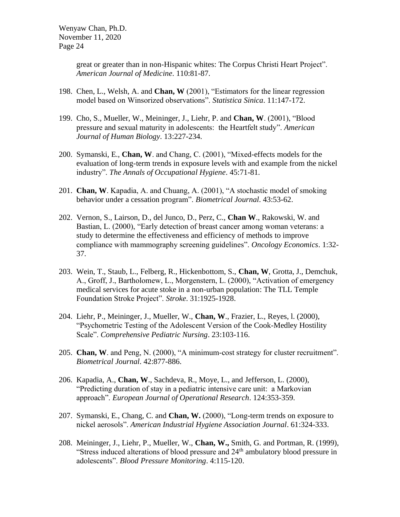great or greater than in non-Hispanic whites: The Corpus Christi Heart Project". *American Journal of Medicine*. 110:81-87.

- 198. Chen, L., Welsh, A. and **Chan, W** (2001), "Estimators for the linear regression model based on Winsorized observations". *Statistica Sinica*. 11:147-172.
- 199. Cho, S., Mueller, W., Meininger, J., Liehr, P. and **Chan, W**. (2001), "Blood pressure and sexual maturity in adolescents: the Heartfelt study". *American Journal of Human Biology*. 13:227-234.
- 200. Symanski, E., **Chan, W**. and Chang, C. (2001), "Mixed-effects models for the evaluation of long-term trends in exposure levels with and example from the nickel industry". *The Annals of Occupational Hygiene*. 45:71-81.
- 201. **Chan, W**. Kapadia, A. and Chuang, A. (2001), "A stochastic model of smoking behavior under a cessation program". *Biometrical Journal*. 43:53-62.
- 202. Vernon, S., Lairson, D., del Junco, D., Perz, C., **Chan W**., Rakowski, W. and Bastian, L. (2000), "Early detection of breast cancer among woman veterans: a study to determine the effectiveness and efficiency of methods to improve compliance with mammography screening guidelines". *Oncology Economics*. 1:32- 37.
- 203. Wein, T., Staub, L., Felberg, R., Hickenbottom, S., **Chan, W**, Grotta, J., Demchuk, A., Groff, J., Bartholomew, L., Morgenstern, L. (2000), "Activation of emergency medical services for acute stoke in a non-urban population: The TLL Temple Foundation Stroke Project". *Stroke*. 31:1925-1928.
- 204. Liehr, P., Meininger, J., Mueller, W., **Chan, W**., Frazier, L., Reyes, l. (2000), "Psychometric Testing of the Adolescent Version of the Cook-Medley Hostility Scale". *Comprehensive Pediatric Nursing*. 23:103-116.
- 205. **Chan, W**. and Peng, N. (2000), "A minimum-cost strategy for cluster recruitment". *Biometrical Journal*. 42:877-886.
- 206. Kapadia, A., **Chan, W**., Sachdeva, R., Moye, L., and Jefferson, L. (2000), "Predicting duration of stay in a pediatric intensive care unit: a Markovian approach". *European Journal of Operational Research*. 124:353-359.
- 207. Symanski, E., Chang, C. and **Chan, W.** (2000), "Long-term trends on exposure to nickel aerosols". *American Industrial Hygiene Association Journal*. 61:324-333.
- 208. Meininger, J., Liehr, P., Mueller, W., **Chan, W.,** Smith, G. and Portman, R. (1999), "Stress induced alterations of blood pressure and 24<sup>th</sup> ambulatory blood pressure in adolescents". *Blood Pressure Monitoring*. 4:115-120.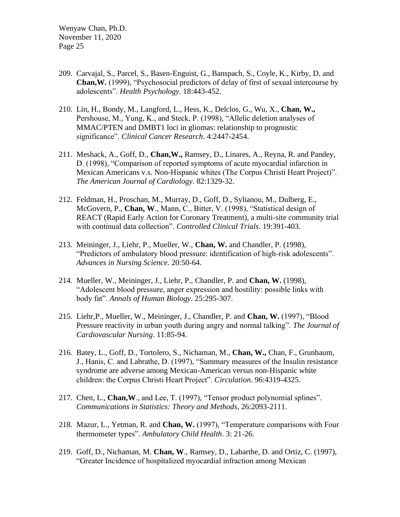- 209. Carvajal, S., Parcel, S., Basen-Enguist, G., Banspach, S., Coyle, K., Kirby, D. and **Chan,W.** (1999), "Psychosocial predictors of delay of first of sexual intercourse by adolescents". *Health Psychology*. 18:443-452.
- 210. Lin, H., Bondy, M., Langford, L., Hess, K., Delclos, G., Wu, X., **Chan, W.,**  Pershouse, M., Yung, K., and Steck, P. (1998), "Allelic deletion analyses of MMAC/PTEN and DMBT1 loci in gliomas: relationship to prognostic significance". *Clinical Cancer Research*. 4:2447-2454.
- 211. Meshack, A., Goff, D., **Chan,W.,** Ramsey, D., Linares, A., Reyna, R. and Pandey, D. (1998), "Comparison of reported symptoms of acute myocardial infarction in Mexican Americans v.s. Non-Hispanic whites (The Corpus Christi Heart Project)". *The American Journal of Cardiology*. 82:1329-32.
- 212. Feldman, H., Proschan, M., Murray, D., Goff, D., Sylianou, M., Dulberg, E., McGovern, P., **Chan, W**., Mann, C., Bitter, V. (1998), "Statistical design of REACT (Rapid Early Action for Coronary Treatment), a multi-site community trial with continual data collection". *Controlled Clinical Trials*. 19:391-403.
- 213. Meininger, J., Liehr, P., Mueller, W., **Chan, W.** and Chandler, P. (1998), "Predictors of ambulatory blood pressure: identification of high-risk adolescents". *Advances in Nursing Science*. 20:50-64.
- 214. Mueller, W., Meininger, J., Liehr, P., Chandler, P. and **Chan, W.** (1998), "Adolescent blood pressure, anger expression and hostility: possible links with body fat". *Annals of Human Biology*. 25:295-307.
- 215. Liehr,P., Mueller, W., Meininger, J., Chandler, P. and **Chan, W.** (1997), "Blood Pressure reactivity in urban youth during angry and normal talking". *The Journal of Cardiovascular Nursing*. 11:85-94.
- 216. Batey, L., Goff, D., Tortolero, S., Nichaman, M., **Chan, W.,** Chan, F., Grunbaum, J., Hanis, C. and Labrathe, D. (1997), "Summary measures of the Insulin resistance syndrome are adverse among Mexican-American versus non-Hispanic white children: the Corpus Christi Heart Project". *Circulation*. 96:4319-4325.
- 217. Chen, L., **Chan,W**., and Lee, T. (1997), "Tensor product polynomial splines". *Communications in Statistics: Theory and Methods*, 26:2093-2111.
- 218. Mazur, L., Yetman, R. and **Chan, W.** (1997), "Temperature comparisons with Four thermometer types". *Ambulatory Child Health*. 3: 21-26.
- 219. Goff, D., Nichaman, M. **Chan, W**., Ramsey, D., Labarthe, D. and Ortiz, C. (1997), "Greater Incidence of hospitalized myocardial infraction among Mexican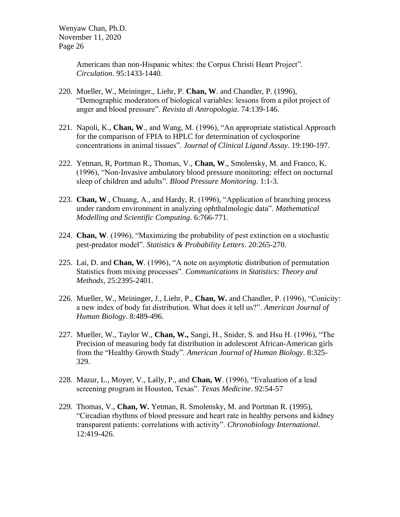> Americans than non-Hispanic whites: the Corpus Christi Heart Project". *Circulation*. 95:1433-1440.

- 220. Mueller, W., Meininger., Liehr, P. **Chan, W**. and Chandler, P. (1996), "Demographic moderators of biological variables: lessons from a pilot project of anger and blood pressure". *Revista di Antropologia*. 74:139-146.
- 221. Napoli, K., **Chan, W**., and Wang, M. (1996), "An appropriate statistical Approach for the comparison of FPIA to HPLC for determination of cyclosporine concentrations in animal tissues". *Journal of Clinical Ligand Assay*. 19:190-197.
- 222. Yetman, R, Portman R., Thomas, V., **Chan, W**., Smolensky, M. and Franco, K. (1996), "Non-Invasive ambulatory blood pressure monitoring: effect on nocturnal sleep of children and adults". *Blood Pressure Monitoring*. 1:1-3.
- 223. **Chan, W**., Chuang, A., and Hardy, R. (1996), "Application of branching process under random environment in analyzing ophthalmologic data". *Mathematical Modelling and Scientific Computing*. 6:766-771.
- 224. **Chan, W**. (1996), "Maximizing the probability of pest extinction on a stochastic pest-predator model". *Statistics & Probability Letters*. 20:265-270.
- 225. Lai, D. and **Chan, W**. (1996), "A note on asymptotic distribution of permutation Statistics from mixing processes". *Communications in Statistics: Theory and Methods*, 25:2395-2401.
- 226. Mueller, W., Meininger, J., Liehr, P., **Chan, W.** and Chandler, P. (1996), "Conicity: a new index of body fat distribution. What does it tell us?". *American Journal of Human Biology*. 8:489-496.
- 227. Mueller, W., Taylor W., **Chan, W.,** Sangi, H., Snider, S. and Hsu H. (1996), "The Precision of measuring body fat distribution in adolescent African-American girls from the "Healthy Growth Study". *American Journal of Human Biology*. 8:325- 329.
- 228. Mazur, L., Moyer, V., Lally, P., and **Chan, W**. (1996), "Evaluation of a lead screening program in Houston, Texas". *Texas Medicine*. 92:54-57
- 229. Thomas, V., **Chan, W.** Yetman, R. Smolensky, M. and Portman R. (1995), "Circadian rhythms of blood pressure and heart rate in healthy persons and kidney transparent patients: correlations with activity". *Chronobiology International*. 12:419-426.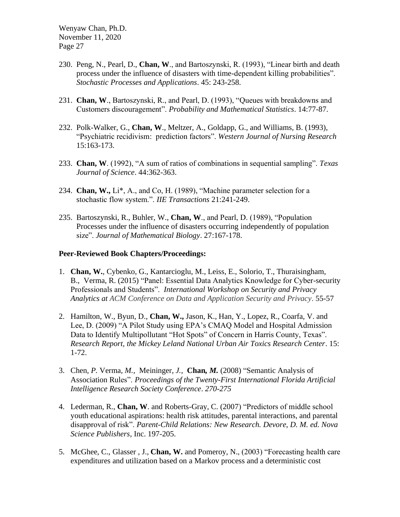- 230. Peng, N., Pearl, D., **Chan, W**., and Bartoszynski, R. (1993), "Linear birth and death process under the influence of disasters with time-dependent killing probabilities". *Stochastic Processes and Applications*. 45: 243-258.
- 231. **Chan, W**., Bartoszynski, R., and Pearl, D. (1993), "Queues with breakdowns and Customers discouragement". *Probability and Mathematical Statistics*. 14:77-87.
- 232. Polk-Walker, G., **Chan, W**., Meltzer, A., Goldapp, G., and Williams, B. (1993), "Psychiatric recidivism: prediction factors". *Western Journal of Nursing Research* 15:163-173.
- 233. **Chan, W**. (1992), "A sum of ratios of combinations in sequential sampling". *Texas Journal of Science*. 44:362-363.
- 234. **Chan, W.,** Li\*, A., and Co, H. (1989), "Machine parameter selection for a stochastic flow system.". *IIE Transactions* 21:241-249.
- 235. Bartoszynski, R., Buhler, W., **Chan, W**., and Pearl, D. (1989), "Population Processes under the influence of disasters occurring independently of population size". *Journal of Mathematical Biology*. 27:167-178.

#### **Peer-Reviewed Book Chapters/Proceedings:**

- 1. **[Chan,](https://urldefense.proofpoint.com/v2/url?u=https-3A__dblp.uni-2Dtrier.de_pers_hd_c_Chan-3AWenyaw&d=DwMFAg&c=bKRySV-ouEg_AT-w2QWsTdd9X__KYh9Eq2fdmQDVZgw&r=9kukhLAQyaQtZPEGaUE_3OwQxTeJmSAYDu2lRxjNSc0&m=UbdU4rbouzkSjJE50BqOrMuT2cyYXET3gGvTkUotHoo&s=ZG3kI2JyJFTH9I5MjLxg-SesSPk-QmK3R51T7kwLywM&e=) W.**, [Cybenko,](https://urldefense.proofpoint.com/v2/url?u=https-3A__dblp.uni-2Dtrier.de_pers_hd_c_Cybenko-3AGeorge&d=DwMFAg&c=bKRySV-ouEg_AT-w2QWsTdd9X__KYh9Eq2fdmQDVZgw&r=9kukhLAQyaQtZPEGaUE_3OwQxTeJmSAYDu2lRxjNSc0&m=UbdU4rbouzkSjJE50BqOrMuT2cyYXET3gGvTkUotHoo&s=KPxtycmrtP37LairJxT6OMAK1sHWpWu5qeC6iGdJHG0&e=) G., [Kantarcioglu,](https://urldefense.proofpoint.com/v2/url?u=https-3A__dblp.uni-2Dtrier.de_pers_hd_k_Kantarcioglu-3AMurat&d=DwMFAg&c=bKRySV-ouEg_AT-w2QWsTdd9X__KYh9Eq2fdmQDVZgw&r=9kukhLAQyaQtZPEGaUE_3OwQxTeJmSAYDu2lRxjNSc0&m=UbdU4rbouzkSjJE50BqOrMuT2cyYXET3gGvTkUotHoo&s=XQ1kMRAUr1wlD9JRiaeFtY9Y6izD8RU8IhN4nNqefV4&e=) M., [Leiss,](https://urldefense.proofpoint.com/v2/url?u=https-3A__dblp.uni-2Dtrier.de_pers_hd_l_Leiss-3AErnst-5FL-3D&d=DwMFAg&c=bKRySV-ouEg_AT-w2QWsTdd9X__KYh9Eq2fdmQDVZgw&r=9kukhLAQyaQtZPEGaUE_3OwQxTeJmSAYDu2lRxjNSc0&m=UbdU4rbouzkSjJE50BqOrMuT2cyYXET3gGvTkUotHoo&s=50RSxk--PdDAkyb87YHRYOgz6YG3AXZJ2Fxrr3ZIKfE&e=) E., [Solorio,](https://urldefense.proofpoint.com/v2/url?u=https-3A__dblp.uni-2Dtrier.de_pers_hd_s_Solorio-3AThamar&d=DwMFAg&c=bKRySV-ouEg_AT-w2QWsTdd9X__KYh9Eq2fdmQDVZgw&r=9kukhLAQyaQtZPEGaUE_3OwQxTeJmSAYDu2lRxjNSc0&m=UbdU4rbouzkSjJE50BqOrMuT2cyYXET3gGvTkUotHoo&s=hwZzPEiQxiytQ-EQd45-83tJZruGYyBRObdP475UnSg&e=) T., [Thuraisingham,](https://urldefense.proofpoint.com/v2/url?u=https-3A__dblp.uni-2Dtrier.de_pers_hd_t_Thuraisingham-3ABhavani-5FM-3D&d=DwMFAg&c=bKRySV-ouEg_AT-w2QWsTdd9X__KYh9Eq2fdmQDVZgw&r=9kukhLAQyaQtZPEGaUE_3OwQxTeJmSAYDu2lRxjNSc0&m=UbdU4rbouzkSjJE50BqOrMuT2cyYXET3gGvTkUotHoo&s=_VaByWIKs9obLZZmC_ktA2BwtkS5DdGSnn8Ij2DZI5c&e=) B., Verma, R. (2015) "Panel: Essential Data Analytics Knowledge for Cyber-security Professionals and Students". *International Workshop [on Security and Privacy](https://urldefense.proofpoint.com/v2/url?u=https-3A__dblp.uni-2Dtrier.de_db_conf_codaspy_iwspa2015.html-23ChanCKLSTV15&d=DwMFAg&c=bKRySV-ouEg_AT-w2QWsTdd9X__KYh9Eq2fdmQDVZgw&r=9kukhLAQyaQtZPEGaUE_3OwQxTeJmSAYDu2lRxjNSc0&m=UbdU4rbouzkSjJE50BqOrMuT2cyYXET3gGvTkUotHoo&s=2DoJ10yz-igRZeIe0WiHsLhZUFTZb618GJvLWgTU17E&e=)  [Analytics at ACM Conference on Data and Application Security and Privacy](https://urldefense.proofpoint.com/v2/url?u=https-3A__dblp.uni-2Dtrier.de_db_conf_codaspy_iwspa2015.html-23ChanCKLSTV15&d=DwMFAg&c=bKRySV-ouEg_AT-w2QWsTdd9X__KYh9Eq2fdmQDVZgw&r=9kukhLAQyaQtZPEGaUE_3OwQxTeJmSAYDu2lRxjNSc0&m=UbdU4rbouzkSjJE50BqOrMuT2cyYXET3gGvTkUotHoo&s=2DoJ10yz-igRZeIe0WiHsLhZUFTZb618GJvLWgTU17E&e=)*. 55-57
- 2. Hamilton, W., Byun, D., **Chan, W.,** Jason, K., Han, Y., Lopez, R., Coarfa, V. and Lee, D. (2009) "A Pilot Study using EPA's CMAQ Model and Hospital Admission Data to Identify Multipollutant "Hot Spots" of Concern in Harris County, Texas". *Research Report, the Mickey Leland National Urban Air Toxics Research Center*. 15: 1-72.
- 3. [Chen](https://urldefense.proofpoint.com/v2/url?u=https-3A__dblp.uni-2Dtrier.de_pers_hd_c_Chen-3APing&d=DwMFAg&c=bKRySV-ouEg_AT-w2QWsTdd9X__KYh9Eq2fdmQDVZgw&r=9kukhLAQyaQtZPEGaUE_3OwQxTeJmSAYDu2lRxjNSc0&m=UbdU4rbouzkSjJE50BqOrMuT2cyYXET3gGvTkUotHoo&s=qih1qWnSKNug-fF9Y74FjkBqQgzN6Vb0jV3tMxjkvQA&e=)*, P.* Verma*, M.,* [Meininger](https://urldefense.proofpoint.com/v2/url?u=https-3A__dblp.uni-2Dtrier.de_pers_hd_m_Meininger-3AJanet-5FC-3D&d=DwMFAg&c=bKRySV-ouEg_AT-w2QWsTdd9X__KYh9Eq2fdmQDVZgw&r=9kukhLAQyaQtZPEGaUE_3OwQxTeJmSAYDu2lRxjNSc0&m=UbdU4rbouzkSjJE50BqOrMuT2cyYXET3gGvTkUotHoo&s=ukIxUQhYFTgEQXYaQ-OBN5EjH7nqLj99eipn5lMqm0A&e=)*, J.,* **[Chan](https://urldefense.proofpoint.com/v2/url?u=https-3A__dblp.uni-2Dtrier.de_pers_hd_c_Chan-3AWenyaw&d=DwMFAg&c=bKRySV-ouEg_AT-w2QWsTdd9X__KYh9Eq2fdmQDVZgw&r=9kukhLAQyaQtZPEGaUE_3OwQxTeJmSAYDu2lRxjNSc0&m=UbdU4rbouzkSjJE50BqOrMuT2cyYXET3gGvTkUotHoo&s=ZG3kI2JyJFTH9I5MjLxg-SesSPk-QmK3R51T7kwLywM&e=)***, M.* (2008) "Semantic Analysis of Association Rules". *Proceedings of the Twenty-First International Florida Artificial Intelligence Research Society Conference*. *270-275*
- 4. Lederman, R., **Chan, W**. and Roberts-Gray, C. (2007) "Predictors of middle school youth educational aspirations: health risk attitudes, parental interactions, and parental disapproval of risk". *Parent-Child Relations: New Research. Devore, D. M. ed. Nova Science Publishers*, Inc. 197-205.
- 5. McGhee, C., Glasser , J., **Chan, W.** and Pomeroy, N., (2003) "Forecasting health care expenditures and utilization based on a Markov process and a deterministic cost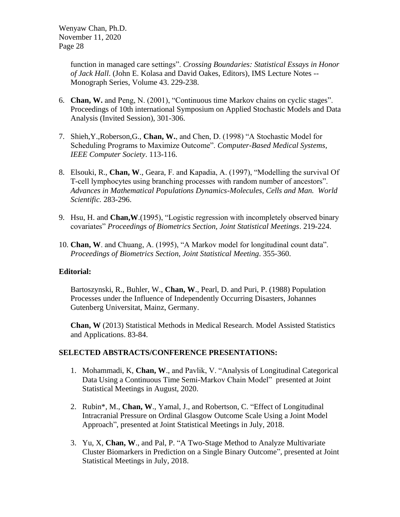> function in managed care settings". *Crossing Boundaries: Statistical Essays in Honor of Jack Hall*. (John E. Kolasa and David Oakes, Editors), IMS Lecture Notes -- Monograph Series, Volume 43. 229-238.

- 6. **Chan, W.** and Peng, N. (2001), "Continuous time Markov chains on cyclic stages". Proceedings of 10th international Symposium on Applied Stochastic Models and Data Analysis (Invited Session), 301-306.
- 7. Shieh,Y.,Roberson,G., **Chan, W.**, and Chen, D. (1998) "A Stochastic Model for Scheduling Programs to Maximize Outcome". *Computer-Based Medical Systems, IEEE Computer Society*. 113-116.
- 8. Elsouki, R., **Chan, W**., Geara, F. and Kapadia, A. (1997), "Modelling the survival Of T-cell lymphocytes using branching processes with random number of ancestors". *Advances in Mathematical Populations Dynamics-Molecules, Cells and Man. World Scientific.* 283-296.
- 9. Hsu, H. and **Chan,W**.(1995), "Logistic regression with incompletely observed binary covariates" *Proceedings of Biometrics Section, Joint Statistical Meetings*. 219-224.
- 10. **Chan, W**. and Chuang, A. (1995), "A Markov model for longitudinal count data". *Proceedings of Biometrics Section, Joint Statistical Meeting*. 355-360.

### **Editorial:**

Bartoszynski, R., Buhler, W., **Chan, W**., Pearl, D. and Puri, P. (1988) Population Processes under the Influence of Independently Occurring Disasters, Johannes Gutenberg Universitat, Mainz, Germany.

**Chan, W** (2013) Statistical Methods in Medical Research. Model Assisted Statistics and Applications. 83-84.

### **SELECTED ABSTRACTS/CONFERENCE PRESENTATIONS:**

- 1. Mohammadi, K, **Chan, W**., and Pavlik, V. ["Analysis of Longitudinal Categorical](https://ww2.amstat.org/meetings/jsm/2020/onlineprogram/AbstractDetails.cfm?abstractid=311134)  [Data Using a Continuous Time Semi-Markov Chain Model"](https://ww2.amstat.org/meetings/jsm/2020/onlineprogram/AbstractDetails.cfm?abstractid=311134) presented at Joint Statistical Meetings in August, 2020.
- 2. Rubin\*, M., **Chan, W**., Yamal, J., and Robertson, C. ["Effect of Longitudinal](http://ww2.amstat.org/meetings/jsm/2018/onlineprogram/AbstractDetails.cfm?abstractid=332797)  [Intracranial Pressure on Ordinal Glasgow Outcome Scale Using a Joint Model](http://ww2.amstat.org/meetings/jsm/2018/onlineprogram/AbstractDetails.cfm?abstractid=332797)  [Approach"](http://ww2.amstat.org/meetings/jsm/2018/onlineprogram/AbstractDetails.cfm?abstractid=332797), presented at Joint Statistical Meetings in July, 2018.
- 3. Yu, X, **Chan, W**., and Pal, P. ["A Two-Stage Method to Analyze Multivariate](http://ww2.amstat.org/meetings/jsm/2018/onlineprogram/AbstractDetails.cfm?abstractid=332659)  [Cluster Biomarkers in Prediction on a Single Binary Outcome"](http://ww2.amstat.org/meetings/jsm/2018/onlineprogram/AbstractDetails.cfm?abstractid=332659), presented at Joint Statistical Meetings in July, 2018.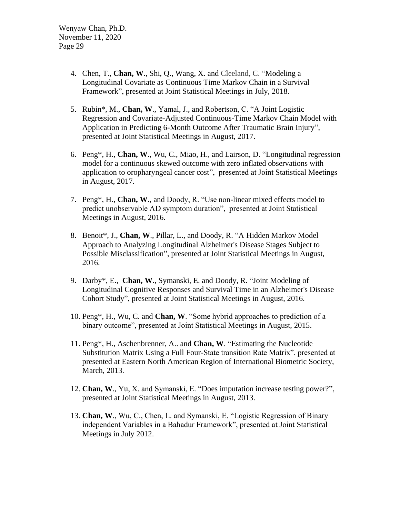- 4. Chen, T., **Chan, W**., Shi, Q., Wang, X. and Cleeland, C. ["Modeling a](http://ww2.amstat.org/meetings/jsm/2018/onlineprogram/AbstractDetails.cfm?abstractid=329975)  [Longitudinal Covariate as Continuous Time Markov Chain in a Survival](http://ww2.amstat.org/meetings/jsm/2018/onlineprogram/AbstractDetails.cfm?abstractid=329975)  [Framework"](http://ww2.amstat.org/meetings/jsm/2018/onlineprogram/AbstractDetails.cfm?abstractid=329975), presented at Joint Statistical Meetings in July, 2018.
- 5. Rubin\*, M., **Chan, W**., Yamal, J., and Robertson, C. ["A Joint Logistic](https://ww2.amstat.org/meetings/jsm/2017/onlineprogram/AbstractDetails.cfm?abstractid=324184)  [Regression and Covariate-Adjusted Continuous-Time Markov Chain Model with](https://ww2.amstat.org/meetings/jsm/2017/onlineprogram/AbstractDetails.cfm?abstractid=324184)  [Application in Predicting 6-Month Outcome After Traumatic Brain Injury"](https://ww2.amstat.org/meetings/jsm/2017/onlineprogram/AbstractDetails.cfm?abstractid=324184), presented at Joint Statistical Meetings in August, 2017.
- 6. Peng\*, H., **Chan, W**., Wu, C., Miao, H., and Lairson, D. ["Longitudinal regression](https://ww2.amstat.org/meetings/jsm/2017/onlineprogram/AbstractDetails.cfm?abstractid=324036)  [model for a continuous skewed outcome with zero inflated observations with](https://ww2.amstat.org/meetings/jsm/2017/onlineprogram/AbstractDetails.cfm?abstractid=324036)  [application to oropharyngeal cancer cost"](https://ww2.amstat.org/meetings/jsm/2017/onlineprogram/AbstractDetails.cfm?abstractid=324036), presented at Joint Statistical Meetings in August, 2017.
- 7. Peng\*, H., **Chan, W**., and Doody, R. "Use non-linear mixed effects model to predict unobservable AD symptom duration", presented at Joint Statistical Meetings in August, 2016.
- 8. Benoit\*, J., **Chan, W**., Pillar, L., and Doody, R. ["A Hidden Markov Model](https://ww2.amstat.org/meetings/jsm/2016/onlineprogram/AbstractDetails.cfm?abstractid=321091)  [Approach to Analyzing Longitudinal Alzheimer's Disease Stages Subject to](https://ww2.amstat.org/meetings/jsm/2016/onlineprogram/AbstractDetails.cfm?abstractid=321091)  [Possible Misclassification"](https://ww2.amstat.org/meetings/jsm/2016/onlineprogram/AbstractDetails.cfm?abstractid=321091), presented at Joint Statistical Meetings in August, 2016.
- 9. Darby\*, E., **Chan, W**., Symanski, E. and Doody, R. ["Joint Modeling of](https://ww2.amstat.org/meetings/jsm/2016/onlineprogram/AbstractDetails.cfm?abstractid=321243)  [Longitudinal Cognitive Responses and Survival Time in an Alzheimer's Disease](https://ww2.amstat.org/meetings/jsm/2016/onlineprogram/AbstractDetails.cfm?abstractid=321243)  [Cohort Study"](https://ww2.amstat.org/meetings/jsm/2016/onlineprogram/AbstractDetails.cfm?abstractid=321243), presented at Joint Statistical Meetings in August, 2016.
- 10. Peng\*, H., Wu, C. and **Chan, W**. "Some hybrid approaches to prediction of a binary outcome", presented at Joint Statistical Meetings in August, 2015.
- 11. Peng\*, H., Aschenbrenner, A.. and **Chan, W**. "Estimating the Nucleotide Substitution Matrix Using a Full Four-State transition Rate Matrix". presented at presented at Eastern North American Region of International Biometric Society, March, 2013.
- 12. **Chan, W**., Yu, X. and Symanski, E. "Does imputation increase testing power?", presented at Joint Statistical Meetings in August, 2013.
- 13. **Chan, W**., Wu, C., Chen, L. and Symanski, E. "Logistic Regression of Binary independent Variables in a Bahadur Framework", presented at Joint Statistical Meetings in July 2012.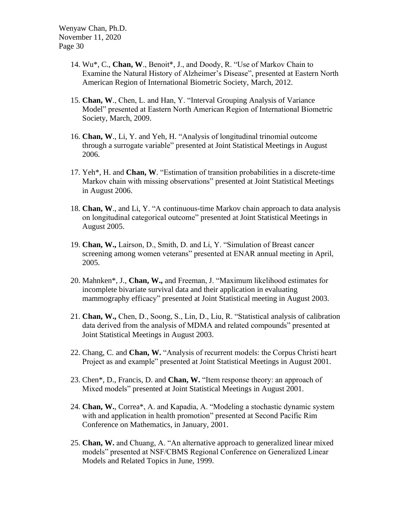- 14. Wu\*, C., **Chan, W**., Benoit\*, J., and Doody, R. "Use of Markov Chain to Examine the Natural History of Alzheimer's Disease", presented at Eastern North American Region of International Biometric Society, March, 2012.
- 15. **Chan, W**., Chen, L. and Han, Y. "Interval Grouping Analysis of Variance Model" presented at Eastern North American Region of International Biometric Society, March, 2009.
- 16. **Chan, W**., Li, Y. and Yeh, H. "Analysis of longitudinal trinomial outcome through a surrogate variable" presented at Joint Statistical Meetings in August 2006.
- 17. Yeh\*, H. and **Chan, W**. "Estimation of transition probabilities in a discrete-time Markov chain with missing observations" presented at Joint Statistical Meetings in August 2006.
- 18. **Chan, W**., and Li, Y. "A continuous-time Markov chain approach to data analysis on longitudinal categorical outcome" presented at Joint Statistical Meetings in August 2005.
- 19. **Chan, W.,** Lairson, D., Smith, D. and Li, Y. "Simulation of Breast cancer screening among women veterans" presented at ENAR annual meeting in April, 2005.
- 20. Mahnken\*, J., **Chan, W.,** and Freeman, J. "Maximum likelihood estimates for incomplete bivariate survival data and their application in evaluating mammography efficacy" presented at Joint Statistical meeting in August 2003.
- 21. **Chan, W.,** Chen, D., Soong, S., Lin, D., Liu, R. "Statistical analysis of calibration data derived from the analysis of MDMA and related compounds" presented at Joint Statistical Meetings in August 2003.
- 22. Chang, C. and **Chan, W.** "Analysis of recurrent models: the Corpus Christi heart Project as and example" presented at Joint Statistical Meetings in August 2001.
- 23. Chen\*, D., Francis, D. and **Chan, W.** "Item response theory: an approach of Mixed models" presented at Joint Statistical Meetings in August 2001.
- 24. **Chan, W.**, Correa\*, A. and Kapadia, A. "Modeling a stochastic dynamic system with and application in health promotion" presented at Second Pacific Rim Conference on Mathematics, in January, 2001.
- 25. **Chan, W.** and Chuang, A. "An alternative approach to generalized linear mixed models" presented at NSF/CBMS Regional Conference on Generalized Linear Models and Related Topics in June, 1999.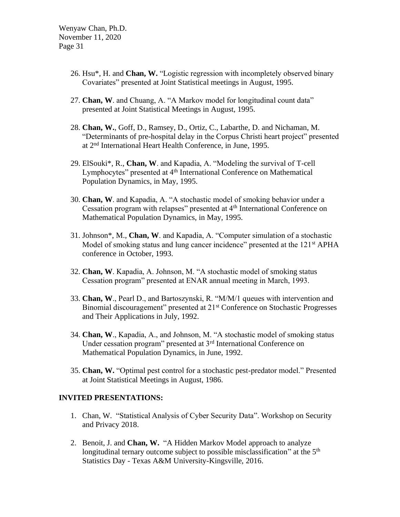- 26. Hsu\*, H. and **Chan, W.** "Logistic regression with incompletely observed binary Covariates" presented at Joint Statistical meetings in August, 1995.
- 27. **Chan, W**. and Chuang, A. "A Markov model for longitudinal count data" presented at Joint Statistical Meetings in August, 1995.
- 28. **Chan, W.**, Goff, D., Ramsey, D., Ortiz, C., Labarthe, D. and Nichaman, M. "Determinants of pre-hospital delay in the Corpus Christi heart project" presented at 2nd International Heart Health Conference, in June, 1995.
- 29. ElSouki\*, R., **Chan, W**. and Kapadia, A. "Modeling the survival of T-cell Lymphocytes" presented at 4<sup>th</sup> International Conference on Mathematical Population Dynamics, in May, 1995.
- 30. **Chan, W**. and Kapadia, A. "A stochastic model of smoking behavior under a Cessation program with relapses" presented at 4th International Conference on Mathematical Population Dynamics, in May, 1995.
- 31. Johnson\*, M., **Chan, W**. and Kapadia, A. "Computer simulation of a stochastic Model of smoking status and lung cancer incidence" presented at the 121<sup>st</sup> APHA conference in October, 1993.
- 32. **Chan, W**. Kapadia, A. Johnson, M. "A stochastic model of smoking status Cessation program" presented at ENAR annual meeting in March, 1993.
- 33. **Chan, W**., Pearl D., and Bartoszynski, R. "M/M/1 queues with intervention and Binomial discouragement" presented at 21<sup>st</sup> Conference on Stochastic Progresses and Their Applications in July, 1992.
- 34. **Chan, W**., Kapadia, A., and Johnson, M. "A stochastic model of smoking status Under cessation program" presented at 3<sup>rd</sup> International Conference on Mathematical Population Dynamics, in June, 1992.
- 35. **Chan, W.** "Optimal pest control for a stochastic pest-predator model." Presented at Joint Statistical Meetings in August, 1986.

#### **INVITED PRESENTATIONS:**

- 1. Chan, W. "Statistical Analysis of Cyber Security Data". Workshop on Security and Privacy 2018.
- 2. Benoit, J. and **Chan, W.** "A Hidden Markov Model approach to analyze longitudinal ternary outcome subject to possible misclassification" at the  $5<sup>th</sup>$ Statistics Day - Texas A&M University-Kingsville, 2016.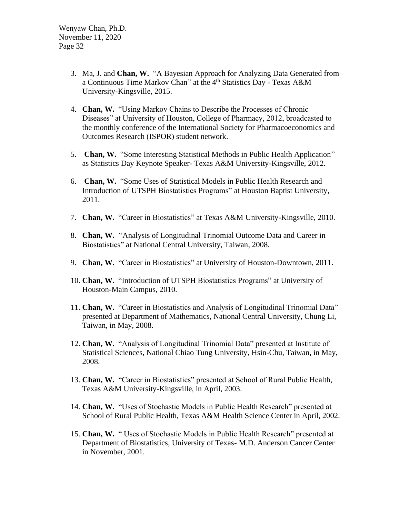- 3. Ma, J. and **Chan, W.** "A Bayesian Approach for Analyzing Data Generated from a Continuous Time Markov Chan" at the 4<sup>th</sup> Statistics Day - Texas A&M University-Kingsville, 2015.
- 4. **Chan, W.** "Using Markov Chains to Describe the Processes of Chronic Diseases" at University of Houston, College of Pharmacy, 2012, broadcasted to the monthly conference of the International Society for Pharmacoeconomics and Outcomes Research (ISPOR) student network.
- 5. **Chan, W.** "Some Interesting Statistical Methods in Public Health Application" as Statistics Day Keynote Speaker- Texas A&M University-Kingsville, 2012.
- 6. **Chan, W.** "Some Uses of Statistical Models in Public Health Research and Introduction of UTSPH Biostatistics Programs" at Houston Baptist University, 2011.
- 7. **Chan, W.** "Career in Biostatistics" at Texas A&M University-Kingsville, 2010.
- 8. **Chan, W.** "Analysis of Longitudinal Trinomial Outcome Data and Career in Biostatistics" at National Central University, Taiwan, 2008.
- 9. **Chan, W.** "Career in Biostatistics" at University of Houston-Downtown, 2011.
- 10. **Chan, W.** "Introduction of UTSPH Biostatistics Programs" at University of Houston-Main Campus, 2010.
- 11. **Chan, W.** "Career in Biostatistics and Analysis of Longitudinal Trinomial Data" presented at Department of Mathematics, National Central University, Chung Li, Taiwan, in May, 2008.
- 12. **Chan, W.** "Analysis of Longitudinal Trinomial Data" presented at Institute of Statistical Sciences, National Chiao Tung University, Hsin-Chu, Taiwan, in May, 2008.
- 13. **Chan, W.** "Career in Biostatistics" presented at School of Rural Public Health, Texas A&M University-Kingsville, in April, 2003.
- 14. **Chan, W.** "Uses of Stochastic Models in Public Health Research" presented at School of Rural Public Health, Texas A&M Health Science Center in April, 2002.
- 15. **Chan, W.** " Uses of Stochastic Models in Public Health Research" presented at Department of Biostatistics, University of Texas- M.D. Anderson Cancer Center in November, 2001.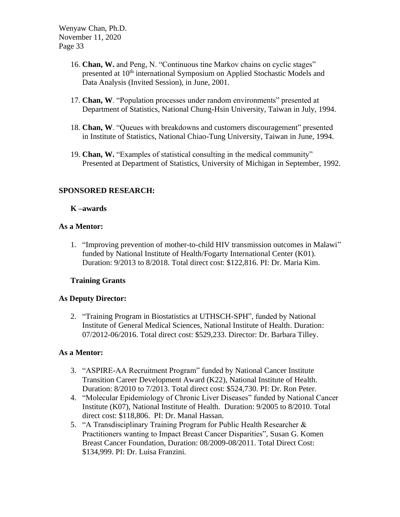- 16. **Chan, W.** and Peng, N. "Continuous tine Markov chains on cyclic stages" presented at 10<sup>th</sup> international Symposium on Applied Stochastic Models and Data Analysis (Invited Session), in June, 2001.
- 17. **Chan, W**. "Population processes under random environments" presented at Department of Statistics, National Chung-Hsin University, Taiwan in July, 1994.
- 18. **Chan, W**. "Queues with breakdowns and customers discouragement" presented in Institute of Statistics, National Chiao-Tung University, Taiwan in June, 1994.
- 19. **Chan, W.** "Examples of statistical consulting in the medical community" Presented at Department of Statistics, University of Michigan in September, 1992.

# **SPONSORED RESEARCH:**

### **K –awards**

### **As a Mentor:**

1. "Improving prevention of mother-to-child HIV transmission outcomes in Malawi" funded by National Institute of Health/Fogarty International Center (K01). Duration: 9/2013 to 8/2018. Total direct cost: \$122,816. PI: Dr. Maria Kim.

## **Training Grants**

## **As Deputy Director:**

2. "Training Program in Biostatistics at UTHSCH-SPH", funded by National Institute of General Medical Sciences, National Institute of Health. Duration: 07/2012-06/2016. Total direct cost: \$529,233. Director: Dr. Barbara Tilley.

### **As a Mentor:**

- 3. "ASPIRE-AA Recruitment Program" funded by National Cancer Institute Transition Career Development Award (K22), National Institute of Health. Duration: 8/2010 to 7/2013. Total direct cost: \$524,730. PI: Dr. Ron Peter.
- 4. "Molecular Epidemiology of Chronic Liver Diseases" funded by National Cancer Institute (K07), National Institute of Health. Duration: 9/2005 to 8/2010. Total direct cost: \$118,806. PI: Dr. Manal Hassan.
- 5. "A Transdisciplinary Training Program for Public Health Researcher & Practitioners wanting to Impact Breast Cancer Disparities", Susan G. Komen Breast Cancer Foundation, Duration: 08/2009-08/2011. Total Direct Cost: \$134,999. PI: Dr. Luisa Franzini.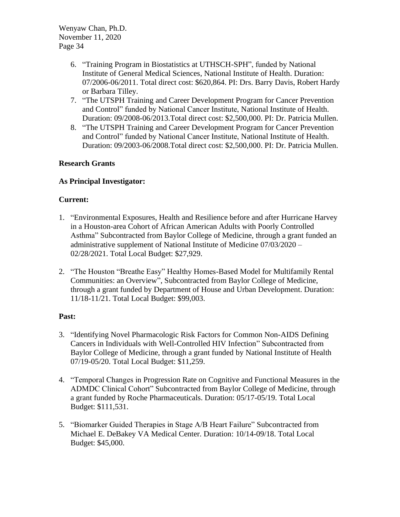- 6. "Training Program in Biostatistics at UTHSCH-SPH", funded by National Institute of General Medical Sciences, National Institute of Health. Duration: 07/2006-06/2011. Total direct cost: \$620,864. PI: Drs. Barry Davis, Robert Hardy or Barbara Tilley.
- 7. "The UTSPH Training and Career Development Program for Cancer Prevention and Control" funded by National Cancer Institute, National Institute of Health. Duration: 09/2008-06/2013.Total direct cost: \$2,500,000. PI: Dr. Patricia Mullen.
- 8. "The UTSPH Training and Career Development Program for Cancer Prevention and Control" funded by National Cancer Institute, National Institute of Health. Duration: 09/2003-06/2008.Total direct cost: \$2,500,000. PI: Dr. Patricia Mullen.

# **Research Grants**

## **As Principal Investigator:**

## **Current:**

- 1. "Environmental Exposures, Health and Resilience before and after Hurricane Harvey in a Houston-area Cohort of African American Adults with Poorly Controlled Asthma" Subcontracted from Baylor College of Medicine, through a grant funded an administrative supplement of National Institute of Medicine 07/03/2020 – 02/28/2021. Total Local Budget: \$27,929.
- 2. "The Houston "Breathe Easy" Healthy Homes-Based Model for Multifamily Rental Communities: an Overview", Subcontracted from Baylor College of Medicine, through a grant funded by Department of House and Urban Development. Duration: 11/18-11/21. Total Local Budget: \$99,003.

## **Past:**

- 3. "Identifying Novel Pharmacologic Risk Factors for Common Non-AIDS Defining Cancers in Individuals with Well-Controlled HIV Infection" Subcontracted from Baylor College of Medicine, through a grant funded by National Institute of Health 07/19-05/20. Total Local Budget: \$11,259.
- 4. "Temporal Changes in Progression Rate on Cognitive and Functional Measures in the ADMDC Clinical Cohort" Subcontracted from Baylor College of Medicine, through a grant funded by Roche Pharmaceuticals. Duration: 05/17-05/19. Total Local Budget: \$111,531.
- 5. "Biomarker Guided Therapies in Stage A/B Heart Failure" Subcontracted from Michael E. DeBakey VA Medical Center. Duration: 10/14-09/18. Total Local Budget: \$45,000.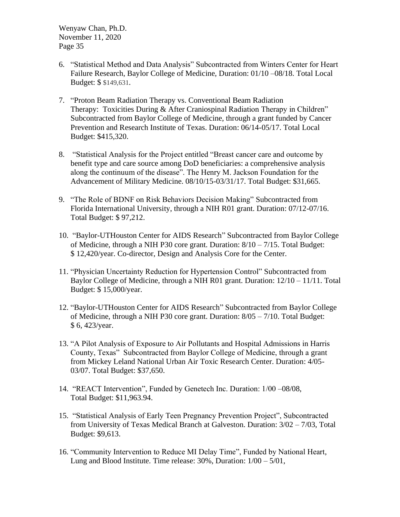- 6. "Statistical Method and Data Analysis" Subcontracted from Winters Center for Heart Failure Research, Baylor College of Medicine, Duration: 01/10 –08/18. Total Local Budget: \$ \$149,631.
- 7. "Proton Beam Radiation Therapy vs. Conventional Beam Radiation Therapy: Toxicities During & After Craniospinal Radiation Therapy in Children" Subcontracted from Baylor College of Medicine, through a grant funded by Cancer Prevention and Research Institute of Texas. Duration: 06/14-05/17. Total Local Budget: \$415,320.
- 8. "Statistical Analysis for the Project entitled "Breast cancer care and outcome by benefit type and care source among DoD beneficiaries: a comprehensive analysis along the continuum of the disease". The Henry M. Jackson Foundation for the Advancement of Military Medicine. 08/10/15-03/31/17. Total Budget: \$31,665.
- 9. "The Role of BDNF on Risk Behaviors Decision Making" Subcontracted from Florida International University, through a NIH R01 grant. Duration: 07/12-07/16. Total Budget: \$ 97,212.
- 10. "Baylor-UTHouston Center for AIDS Research" Subcontracted from Baylor College of Medicine, through a NIH P30 core grant. Duration: 8/10 – 7/15. Total Budget: \$ 12,420/year. Co-director, Design and Analysis Core for the Center.
- 11. "Physician Uncertainty Reduction for Hypertension Control" Subcontracted from Baylor College of Medicine, through a NIH R01 grant. Duration: 12/10 – 11/11. Total Budget: \$ 15,000/year.
- 12. "Baylor-UTHouston Center for AIDS Research" Subcontracted from Baylor College of Medicine, through a NIH P30 core grant. Duration: 8/05 – 7/10. Total Budget: \$ 6, 423/year.
- 13. "A Pilot Analysis of Exposure to Air Pollutants and Hospital Admissions in Harris County, Texas" Subcontracted from Baylor College of Medicine, through a grant from Mickey Leland National Urban Air Toxic Research Center. Duration: 4/05- 03/07. Total Budget: \$37,650.
- 14. "REACT Intervention", Funded by Genetech Inc. Duration: 1/00 –08/08, Total Budget: \$11,963.94.
- 15. "Statistical Analysis of Early Teen Pregnancy Prevention Project", Subcontracted from University of Texas Medical Branch at Galveston. Duration: 3/02 – 7/03, Total Budget: \$9,613.
- 16. "Community Intervention to Reduce MI Delay Time", Funded by National Heart, Lung and Blood Institute. Time release: 30%, Duration: 1/00 – 5/01,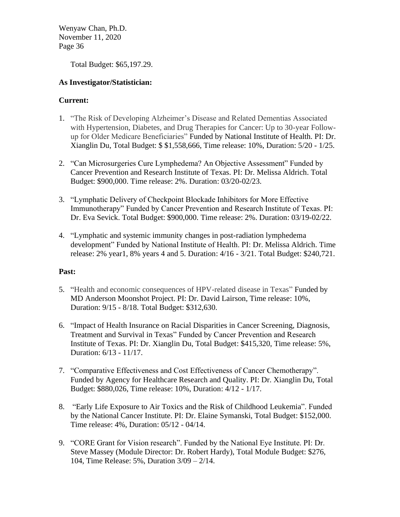Total Budget: \$65,197.29.

## **As Investigator/Statistician:**

## **Current:**

- 1. "The Risk of Developing Alzheimer's Disease and Related Dementias Associated with Hypertension, Diabetes, and Drug Therapies for Cancer: Up to 30-year Followup for Older Medicare Beneficiaries" Funded by National Institute of Health. PI: Dr. Xianglin Du, Total Budget: \$ \$1,558,666, Time release: 10%, Duration: 5/20 - 1/25.
- 2. "Can Microsurgeries Cure Lymphedema? An Objective Assessment" Funded by Cancer Prevention and Research Institute of Texas. PI: Dr. Melissa Aldrich. Total Budget: \$900,000. Time release: 2%. Duration: 03/20-02/23.
- 3. "Lymphatic Delivery of Checkpoint Blockade Inhibitors for More Effective Immunotherapy" Funded by Cancer Prevention and Research Institute of Texas. PI: Dr. Eva Sevick. Total Budget: \$900,000. Time release: 2%. Duration: 03/19-02/22.
- 4. "Lymphatic and systemic immunity changes in post-radiation lymphedema development" Funded by National Institute of Health. PI: Dr. Melissa Aldrich. Time release: 2% year1, 8% years 4 and 5. Duration: 4/16 - 3/21. Total Budget: \$240,721.

## **Past:**

- 5. "Health and economic consequences of HPV-related disease in Texas" Funded by MD Anderson Moonshot Project. PI: Dr. David Lairson, Time release: 10%, Duration: 9/15 - 8/18. Total Budget: \$312,630.
- 6. "Impact of Health Insurance on Racial Disparities in Cancer Screening, Diagnosis, Treatment and Survival in Texas" Funded by Cancer Prevention and Research Institute of Texas. PI: Dr. Xianglin Du, Total Budget: \$415,320, Time release: 5%, Duration: 6/13 - 11/17.
- 7. "Comparative Effectiveness and Cost Effectiveness of Cancer Chemotherapy". Funded by Agency for Healthcare Research and Quality. PI: Dr. Xianglin Du, Total Budget: \$880,026, Time release: 10%, Duration: 4/12 - 1/17.
- 8. "Early Life Exposure to Air Toxics and the Risk of Childhood Leukemia". Funded by the National Cancer Institute. PI: Dr. Elaine Symanski, Total Budget: \$152,000. Time release: 4%, Duration: 05/12 - 04/14.
- 9. "CORE Grant for Vision research". Funded by the National Eye Institute. PI: Dr. Steve Massey (Module Director: Dr. Robert Hardy), Total Module Budget: \$276, 104, Time Release: 5%, Duration 3/09 – 2/14.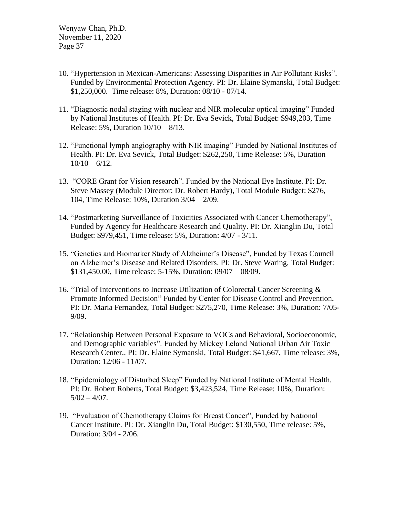- 10. "Hypertension in Mexican-Americans: Assessing Disparities in Air Pollutant Risks". Funded by Environmental Protection Agency. PI: Dr. Elaine Symanski, Total Budget: \$1,250,000. Time release: 8%, Duration: 08/10 - 07/14.
- 11. "Diagnostic nodal staging with nuclear and NIR molecular optical imaging" Funded by National Institutes of Health. PI: Dr. Eva Sevick, Total Budget: \$949,203, Time Release: 5%, Duration 10/10 – 8/13.
- 12. "Functional lymph angiography with NIR imaging" Funded by National Institutes of Health. PI: Dr. Eva Sevick, Total Budget: \$262,250, Time Release: 5%, Duration  $10/10 - 6/12$ .
- 13. "CORE Grant for Vision research". Funded by the National Eye Institute. PI: Dr. Steve Massey (Module Director: Dr. Robert Hardy), Total Module Budget: \$276, 104, Time Release: 10%, Duration 3/04 – 2/09.
- 14. "Postmarketing Surveillance of Toxicities Associated with Cancer Chemotherapy", Funded by Agency for Healthcare Research and Quality. PI: Dr. Xianglin Du, Total Budget: \$979,451, Time release: 5%, Duration: 4/07 - 3/11.
- 15. "Genetics and Biomarker Study of Alzheimer's Disease", Funded by Texas Council on Alzheimer's Disease and Related Disorders. PI: Dr. Steve Waring, Total Budget: \$131,450.00, Time release: 5-15%, Duration: 09/07 – 08/09.
- 16. "Trial of Interventions to Increase Utilization of Colorectal Cancer Screening & Promote Informed Decision" Funded by Center for Disease Control and Prevention. PI: Dr. Maria Fernandez, Total Budget: \$275,270, Time Release: 3%, Duration: 7/05- 9/09.
- 17. "Relationship Between Personal Exposure to VOCs and Behavioral, Socioeconomic, and Demographic variables". Funded by Mickey Leland National Urban Air Toxic Research Center.. PI: Dr. Elaine Symanski, Total Budget: \$41,667, Time release: 3%, Duration: 12/06 - 11/07.
- 18. "Epidemiology of Disturbed Sleep" Funded by National Institute of Mental Health. PI: Dr. Robert Roberts, Total Budget: \$3,423,524, Time Release: 10%, Duration:  $5/02 - 4/07$ .
- 19. "Evaluation of Chemotherapy Claims for Breast Cancer", Funded by National Cancer Institute. PI: Dr. Xianglin Du, Total Budget: \$130,550, Time release: 5%, Duration: 3/04 - 2/06.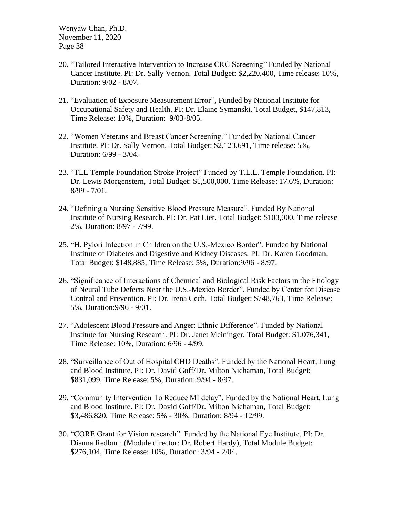- 20. "Tailored Interactive Intervention to Increase CRC Screening" Funded by National Cancer Institute. PI: Dr. Sally Vernon, Total Budget: \$2,220,400, Time release: 10%, Duration: 9/02 - 8/07.
- 21. "Evaluation of Exposure Measurement Error", Funded by National Institute for Occupational Safety and Health. PI: Dr. Elaine Symanski, Total Budget, \$147,813, Time Release: 10%, Duration: 9/03-8/05.
- 22. "Women Veterans and Breast Cancer Screening." Funded by National Cancer Institute. PI: Dr. Sally Vernon, Total Budget: \$2,123,691, Time release: 5%, Duration: 6/99 - 3/04.
- 23. "TLL Temple Foundation Stroke Project" Funded by T.L.L. Temple Foundation. PI: Dr. Lewis Morgenstern, Total Budget: \$1,500,000, Time Release: 17.6%, Duration: 8/99 - 7/01.
- 24. "Defining a Nursing Sensitive Blood Pressure Measure". Funded By National Institute of Nursing Research. PI: Dr. Pat Lier, Total Budget: \$103,000, Time release 2%, Duration: 8/97 - 7/99.
- 25. "H. Pylori Infection in Children on the U.S.-Mexico Border". Funded by National Institute of Diabetes and Digestive and Kidney Diseases. PI: Dr. Karen Goodman, Total Budget: \$148,885, Time Release: 5%, Duration:9/96 - 8/97.
- 26. "Significance of Interactions of Chemical and Biological Risk Factors in the Etiology of Neural Tube Defects Near the U.S.-Mexico Border". Funded by Center for Disease Control and Prevention. PI: Dr. Irena Cech, Total Budget: \$748,763, Time Release: 5%, Duration:9/96 - 9/01.
- 27. "Adolescent Blood Pressure and Anger: Ethnic Difference". Funded by National Institute for Nursing Research. PI: Dr. Janet Meininger, Total Budget: \$1,076,341, Time Release: 10%, Duration: 6/96 - 4/99.
- 28. "Surveillance of Out of Hospital CHD Deaths". Funded by the National Heart, Lung and Blood Institute. PI: Dr. David Goff/Dr. Milton Nichaman, Total Budget: \$831,099, Time Release: 5%, Duration: 9/94 - 8/97.
- 29. "Community Intervention To Reduce MI delay". Funded by the National Heart, Lung and Blood Institute. PI: Dr. David Goff/Dr. Milton Nichaman, Total Budget: \$3,486,820, Time Release: 5% - 30%, Duration: 8/94 - 12/99.
- 30. "CORE Grant for Vision research". Funded by the National Eye Institute. PI: Dr. Dianna Redburn (Module director: Dr. Robert Hardy), Total Module Budget: \$276,104, Time Release: 10%, Duration: 3/94 - 2/04.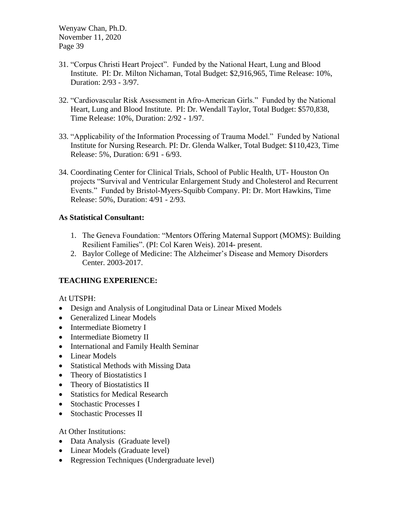- 31. "Corpus Christi Heart Project". Funded by the National Heart, Lung and Blood Institute. PI: Dr. Milton Nichaman, Total Budget: \$2,916,965, Time Release: 10%, Duration: 2/93 - 3/97.
- 32. "Cardiovascular Risk Assessment in Afro-American Girls." Funded by the National Heart, Lung and Blood Institute. PI: Dr. Wendall Taylor, Total Budget: \$570,838, Time Release: 10%, Duration: 2/92 - 1/97.
- 33. "Applicability of the Information Processing of Trauma Model." Funded by National Institute for Nursing Research. PI: Dr. Glenda Walker, Total Budget: \$110,423, Time Release: 5%, Duration: 6/91 - 6/93.
- 34. Coordinating Center for Clinical Trials, School of Public Health, UT- Houston On projects "Survival and Ventricular Enlargement Study and Cholesterol and Recurrent Events." Funded by Bristol-Myers-Squibb Company. PI: Dr. Mort Hawkins, Time Release: 50%, Duration: 4/91 - 2/93.

## **As Statistical Consultant:**

- 1. The Geneva Foundation: "Mentors Offering Maternal Support (MOMS): Building Resilient Families". (PI: Col Karen Weis). 2014- present.
- 2. Baylor College of Medicine: The Alzheimer's Disease and Memory Disorders Center. 2003-2017.

## **TEACHING EXPERIENCE:**

### At UTSPH:

- Design and Analysis of Longitudinal Data or Linear Mixed Models
- Generalized Linear Models
- Intermediate Biometry I
- Intermediate Biometry II
- International and Family Health Seminar
- Linear Models
- Statistical Methods with Missing Data
- Theory of Biostatistics I
- Theory of Biostatistics II
- Statistics for Medical Research
- Stochastic Processes I
- Stochastic Processes II

### At Other Institutions:

- Data Analysis (Graduate level)
- Linear Models (Graduate level)
- Regression Techniques (Undergraduate level)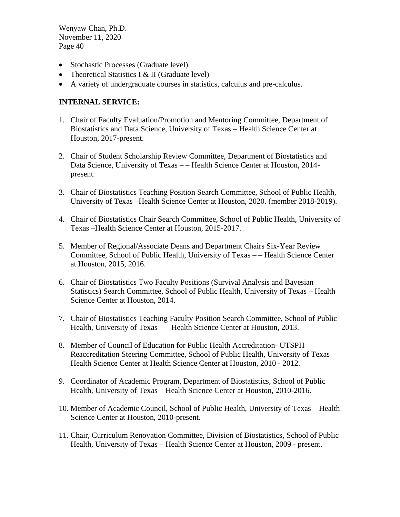- Stochastic Processes (Graduate level)
- Theoretical Statistics I & II (Graduate level)
- A variety of undergraduate courses in statistics, calculus and pre-calculus.

### **INTERNAL SERVICE:**

- 1. Chair of Faculty Evaluation/Promotion and Mentoring Committee, Department of Biostatistics and Data Science, University of Texas – Health Science Center at Houston, 2017-present.
- 2. Chair of Student Scholarship Review Committee, Department of Biostatistics and Data Science, University of Texas – – Health Science Center at Houston, 2014 present.
- 3. Chair of Biostatistics Teaching Position Search Committee, School of Public Health, University of Texas –Health Science Center at Houston, 2020. (member 2018-2019).
- 4. Chair of Biostatistics Chair Search Committee, School of Public Health, University of Texas –Health Science Center at Houston, 2015-2017.
- 5. Member of Regional/Associate Deans and Department Chairs Six-Year Review Committee, School of Public Health, University of Texas – – Health Science Center at Houston, 2015, 2016.
- 6. Chair of Biostatistics Two Faculty Positions (Survival Analysis and Bayesian Statistics) Search Committee, School of Public Health, University of Texas – Health Science Center at Houston, 2014.
- 7. Chair of Biostatistics Teaching Faculty Position Search Committee, School of Public Health, University of Texas - – Health Science Center at Houston, 2013.
- 8. Member of Council of Education for Public Health Accreditation- UTSPH Reaccreditation Steering Committee, School of Public Health, University of Texas – Health Science Center at Health Science Center at Houston, 2010 - 2012.
- 9. Coordinator of Academic Program, Department of Biostatistics, School of Public Health, University of Texas – Health Science Center at Houston, 2010-2016.
- 10. Member of Academic Council, School of Public Health, University of Texas Health Science Center at Houston, 2010-present.
- 11. Chair, Curriculum Renovation Committee, Division of Biostatistics, School of Public Health, University of Texas – Health Science Center at Houston, 2009 - present.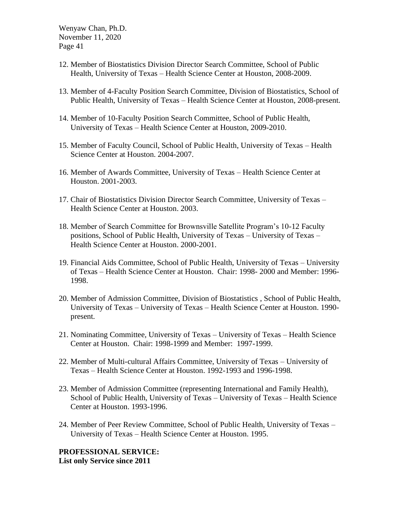- 12. Member of Biostatistics Division Director Search Committee, School of Public Health, University of Texas – Health Science Center at Houston, 2008-2009.
- 13. Member of 4-Faculty Position Search Committee, Division of Biostatistics, School of Public Health, University of Texas – Health Science Center at Houston, 2008-present.
- 14. Member of 10-Faculty Position Search Committee, School of Public Health, University of Texas – Health Science Center at Houston, 2009-2010.
- 15. Member of Faculty Council, School of Public Health, University of Texas Health Science Center at Houston. 2004-2007.
- 16. Member of Awards Committee, University of Texas Health Science Center at Houston. 2001-2003.
- 17. Chair of Biostatistics Division Director Search Committee, University of Texas Health Science Center at Houston. 2003.
- 18. Member of Search Committee for Brownsville Satellite Program's 10-12 Faculty positions, School of Public Health, University of Texas – University of Texas – Health Science Center at Houston. 2000-2001.
- 19. Financial Aids Committee, School of Public Health, University of Texas University of Texas – Health Science Center at Houston. Chair: 1998- 2000 and Member: 1996- 1998.
- 20. Member of Admission Committee, Division of Biostatistics , School of Public Health, University of Texas – University of Texas – Health Science Center at Houston. 1990 present.
- 21. Nominating Committee, University of Texas University of Texas Health Science Center at Houston. Chair: 1998-1999 and Member: 1997-1999.
- 22. Member of Multi-cultural Affairs Committee, University of Texas University of Texas – Health Science Center at Houston. 1992-1993 and 1996-1998.
- 23. Member of Admission Committee (representing International and Family Health), School of Public Health, University of Texas – University of Texas – Health Science Center at Houston. 1993-1996.
- 24. Member of Peer Review Committee, School of Public Health, University of Texas University of Texas – Health Science Center at Houston. 1995.

**PROFESSIONAL SERVICE: List only Service since 2011**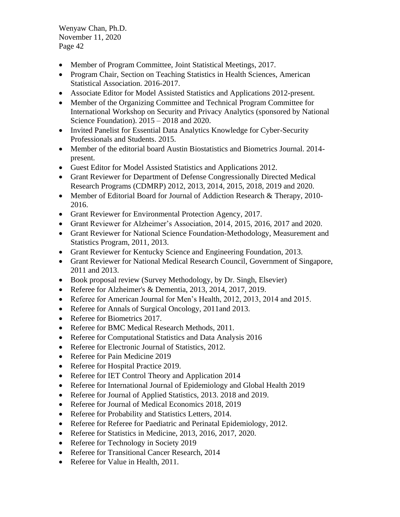- Member of Program Committee, Joint Statistical Meetings, 2017.
- Program Chair, Section on Teaching Statistics in Health Sciences, American Statistical Association. 2016-2017.
- Associate Editor for Model Assisted Statistics and Applications 2012-present.
- Member of the Organizing Committee and Technical Program Committee for International Workshop on Security and Privacy Analytics (sponsored by National Science Foundation). 2015 – 2018 and 2020.
- Invited Panelist for Essential Data Analytics Knowledge for Cyber-Security Professionals and Students. 2015.
- Member of the editorial board Austin Biostatistics and Biometrics Journal. 2014 present.
- Guest Editor for Model Assisted Statistics and Applications 2012.
- Grant Reviewer for Department of Defense Congressionally Directed Medical Research Programs (CDMRP) 2012, 2013, 2014, 2015, 2018, 2019 and 2020.
- Member of Editorial Board for Journal of Addiction Research & Therapy, 2010-2016.
- Grant Reviewer for Environmental Protection Agency, 2017.
- Grant Reviewer for Alzheimer's Association, 2014, 2015, 2016, 2017 and 2020.
- Grant Reviewer for National Science Foundation-Methodology, Measurement and Statistics Program, 2011, 2013.
- Grant Reviewer for Kentucky Science and Engineering Foundation, 2013.
- Grant Reviewer for National Medical Research Council, Government of Singapore, 2011 and 2013.
- Book proposal review (Survey Methodology, by Dr. Singh, Elsevier)
- Referee for Alzheimer's & Dementia, 2013, 2014, 2017, 2019.
- Referee for American Journal for Men's Health, 2012, 2013, 2014 and 2015.
- Referee for Annals of Surgical Oncology, 2011and 2013.
- Referee for Biometrics 2017.
- Referee for BMC Medical Research Methods, 2011.
- Referee for Computational Statistics and Data Analysis 2016
- Referee for Electronic Journal of Statistics, 2012.
- Referee for Pain Medicine 2019
- Referee for Hospital Practice 2019.
- Referee for IET Control Theory and Application 2014
- Referee for International Journal of Epidemiology and Global Health 2019
- Referee for Journal of Applied Statistics, 2013. 2018 and 2019.
- Referee for Journal of Medical Economics 2018, 2019
- Referee for Probability and Statistics Letters, 2014.
- Referee for Referee for Paediatric and Perinatal Epidemiology, 2012.
- Referee for Statistics in Medicine, 2013, 2016, 2017, 2020.
- Referee for Technology in Society 2019
- Referee for Transitional Cancer Research, 2014
- Referee for Value in Health, 2011.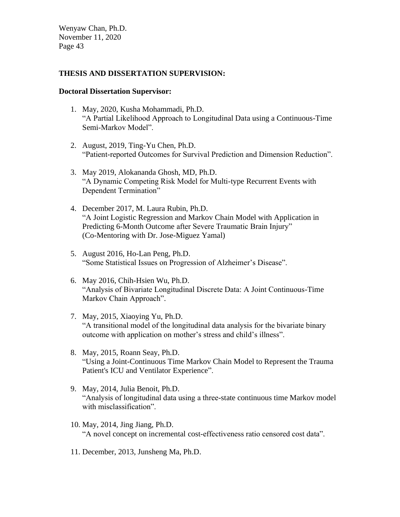#### **THESIS AND DISSERTATION SUPERVISION:**

#### **Doctoral Dissertation Supervisor:**

- 1. May, 2020, Kusha Mohammadi, Ph.D. "A Partial Likelihood Approach to Longitudinal Data using a Continuous-Time Semi-Markov Model".
- 2. August, 2019, Ting-Yu Chen, Ph.D. "Patient-reported Outcomes for Survival Prediction and Dimension Reduction".
- 3. May 2019, Alokananda Ghosh, MD, Ph.D. "A Dynamic Competing Risk Model for Multi-type Recurrent Events with Dependent Termination"
- 4. December 2017, M. Laura Rubin, Ph.D. "A Joint Logistic Regression and Markov Chain Model with Application in Predicting 6-Month Outcome after Severe Traumatic Brain Injury" (Co-Mentoring with Dr. Jose-Miguez Yamal)
- 5. August 2016, Ho-Lan Peng, Ph.D. "Some Statistical Issues on Progression of Alzheimer's Disease".
- 6. May 2016, Chih-Hsien Wu, Ph.D. "Analysis of Bivariate Longitudinal Discrete Data: A Joint Continuous-Time Markov Chain Approach".
- 7. May, 2015, Xiaoying Yu, Ph.D. "A transitional model of the longitudinal data analysis for the bivariate binary outcome with application on mother's stress and child's illness".
- 8. May, 2015, Roann Seay, Ph.D. "Using a Joint-Continuous Time Markov Chain Model to Represent the Trauma Patient's ICU and Ventilator Experience".
- 9. May, 2014, Julia Benoit, Ph.D. "Analysis of longitudinal data using a three-state continuous time Markov model with misclassification".
- 10. May, 2014, Jing Jiang, Ph.D. "A novel concept on incremental cost-effectiveness ratio censored cost data".
- 11. December, 2013, Junsheng Ma, Ph.D.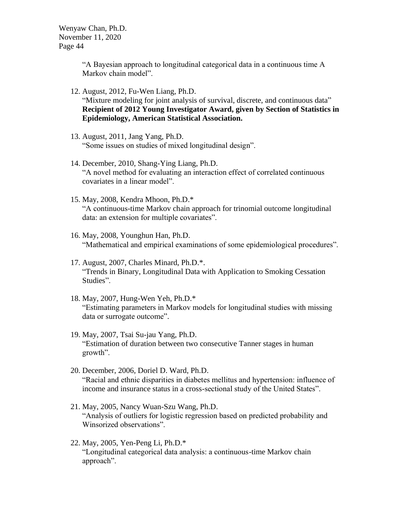> "A Bayesian approach to longitudinal categorical data in a continuous time A Markov chain model".

- 12. August, 2012, Fu-Wen Liang, Ph.D. "Mixture modeling for joint analysis of survival, discrete, and continuous data" **Recipient of 2012 Young Investigator Award, given by Section of Statistics in Epidemiology, American Statistical Association.**
- 13. August, 2011, Jang Yang, Ph.D. "Some issues on studies of mixed longitudinal design".
- 14. December, 2010, Shang-Ying Liang, Ph.D. "A novel method for evaluating an interaction effect of correlated continuous covariates in a linear model".
- 15. May, 2008, Kendra Mhoon, Ph.D.\* "A continuous-time Markov chain approach for trinomial outcome longitudinal data: an extension for multiple covariates".
- 16. May, 2008, Younghun Han, Ph.D. "Mathematical and empirical examinations of some epidemiological procedures".
- 17. August, 2007, Charles Minard, Ph.D.\*. "Trends in Binary, Longitudinal Data with Application to Smoking Cessation Studies".
- 18. May, 2007, Hung-Wen Yeh, Ph.D.\* "Estimating parameters in Markov models for longitudinal studies with missing data or surrogate outcome".
- 19. May, 2007, Tsai Su-jau Yang, Ph.D. "Estimation of duration between two consecutive Tanner stages in human growth".
- 20. December, 2006, Doriel D. Ward, Ph.D. "Racial and ethnic disparities in diabetes mellitus and hypertension: influence of income and insurance status in a cross-sectional study of the United States".
- 21. May, 2005, Nancy Wuan-Szu Wang, Ph.D. "Analysis of outliers for logistic regression based on predicted probability and Winsorized observations".
- 22. May, 2005, Yen-Peng Li, Ph.D.\* "Longitudinal categorical data analysis: a continuous-time Markov chain approach".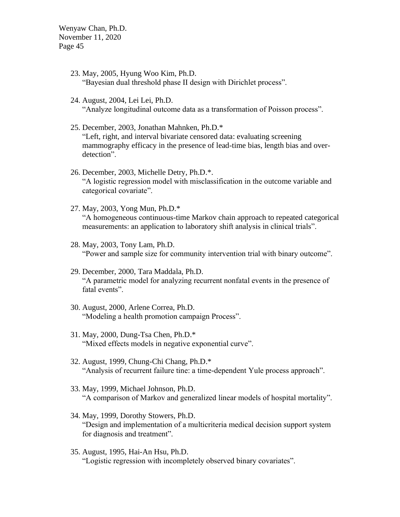- 23. May, 2005, Hyung Woo Kim, Ph.D. "Bayesian dual threshold phase II design with Dirichlet process".
- 24. August, 2004, Lei Lei, Ph.D. "Analyze longitudinal outcome data as a transformation of Poisson process".
- 25. December, 2003, Jonathan Mahnken, Ph.D.\* "Left, right, and interval bivariate censored data: evaluating screening mammography efficacy in the presence of lead-time bias, length bias and overdetection".
- 26. December, 2003, Michelle Detry, Ph.D.\*. "A logistic regression model with misclassification in the outcome variable and categorical covariate".
- 27. May, 2003, Yong Mun, Ph.D.\* "A homogeneous continuous-time Markov chain approach to repeated categorical measurements: an application to laboratory shift analysis in clinical trials".
- 28. May, 2003, Tony Lam, Ph.D. "Power and sample size for community intervention trial with binary outcome".
- 29. December, 2000, Tara Maddala, Ph.D. "A parametric model for analyzing recurrent nonfatal events in the presence of fatal events".
- 30. August, 2000, Arlene Correa, Ph.D. "Modeling a health promotion campaign Process".
- 31. May, 2000, Dung-Tsa Chen, Ph.D.\* "Mixed effects models in negative exponential curve".
- 32. August, 1999, Chung-Chi Chang, Ph.D.\* "Analysis of recurrent failure tine: a time-dependent Yule process approach".
- 33. May, 1999, Michael Johnson, Ph.D. "A comparison of Markov and generalized linear models of hospital mortality".
- 34. May, 1999, Dorothy Stowers, Ph.D. "Design and implementation of a multicriteria medical decision support system for diagnosis and treatment".
- 35. August, 1995, Hai-An Hsu, Ph.D. "Logistic regression with incompletely observed binary covariates".